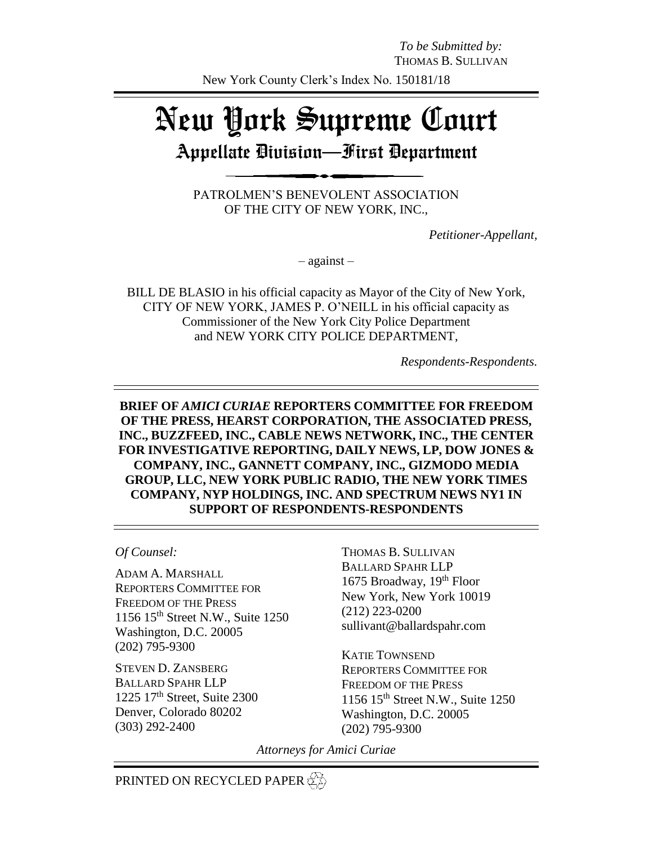# New York Supreme Court Appellate Division—First Department

PATROLMEN'S BENEVOLENT ASSOCIATION OF THE CITY OF NEW YORK, INC.,

*Petitioner-Appellant,*

– against –

BILL DE BLASIO in his official capacity as Mayor of the City of New York, CITY OF NEW YORK, JAMES P. O'NEILL in his official capacity as Commissioner of the New York City Police Department and NEW YORK CITY POLICE DEPARTMENT,

*Respondents-Respondents.*

**BRIEF OF** *AMICI CURIAE* **REPORTERS COMMITTEE FOR FREEDOM OF THE PRESS, HEARST CORPORATION, THE ASSOCIATED PRESS, INC., BUZZFEED, INC., CABLE NEWS NETWORK, INC., THE CENTER FOR INVESTIGATIVE REPORTING, DAILY NEWS, LP, DOW JONES & COMPANY, INC., GANNETT COMPANY, INC., GIZMODO MEDIA GROUP, LLC, NEW YORK PUBLIC RADIO, THE NEW YORK TIMES COMPANY, NYP HOLDINGS, INC. AND SPECTRUM NEWS NY1 IN SUPPORT OF RESPONDENTS-RESPONDENTS**

#### *Of Counsel:*

ADAM A. MARSHALL REPORTERS COMMITTEE FOR FREEDOM OF THE PRESS 1156 15th Street N.W., Suite 1250 Washington, D.C. 20005 (202) 795-9300

STEVEN D. ZANSBERG BALLARD SPAHR LLP 1225  $17<sup>th</sup>$  Street, Suite 2300 Denver, Colorado 80202 (303) 292-2400

THOMAS B. SULLIVAN BALLARD SPAHR LLP 1675 Broadway, 19th Floor New York, New York 10019 (212) 223-0200 [sullivant@ballardspahr.com](mailto:sullivant@ballardspahr.com)

KATIE TOWNSEND REPORTERS COMMITTEE FOR FREEDOM OF THE PRESS 1156 15th Street N.W., Suite 1250 Washington, D.C. 20005 (202) 795-9300

*Attorneys for Amici Curiae*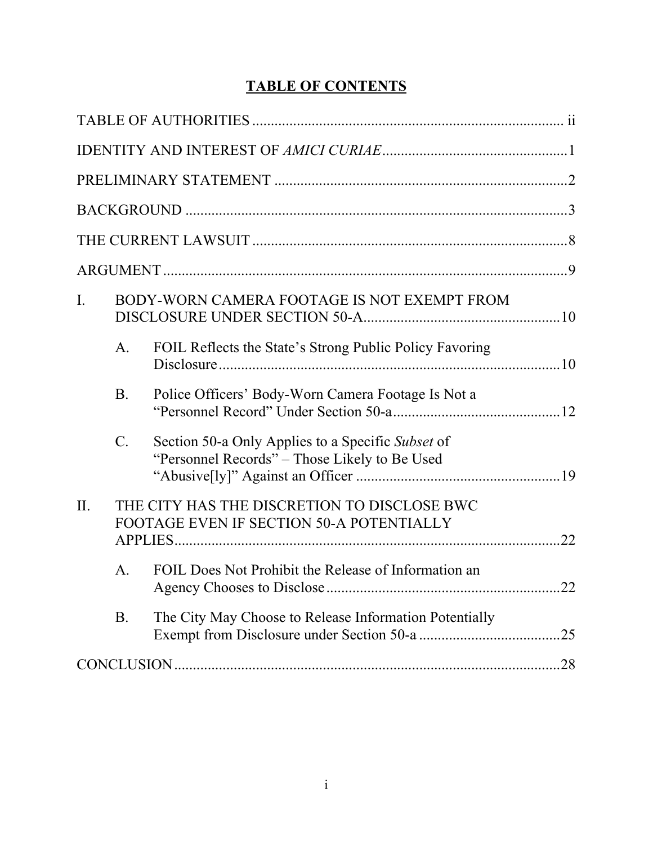# **TABLE OF CONTENTS**

| I.  |                                                                                         | BODY-WORN CAMERA FOOTAGE IS NOT EXEMPT FROM                                                        |     |
|-----|-----------------------------------------------------------------------------------------|----------------------------------------------------------------------------------------------------|-----|
|     | A.                                                                                      | FOIL Reflects the State's Strong Public Policy Favoring                                            |     |
|     | <b>B.</b>                                                                               | Police Officers' Body-Worn Camera Footage Is Not a                                                 |     |
|     | $C$ .                                                                                   | Section 50-a Only Applies to a Specific Subset of<br>"Personnel Records" – Those Likely to Be Used |     |
| II. | THE CITY HAS THE DISCRETION TO DISCLOSE BWC<br>FOOTAGE EVEN IF SECTION 50-A POTENTIALLY |                                                                                                    |     |
|     | A.                                                                                      | FOIL Does Not Prohibit the Release of Information an                                               | 22  |
|     | <b>B.</b>                                                                               | The City May Choose to Release Information Potentially                                             | .25 |
|     |                                                                                         |                                                                                                    |     |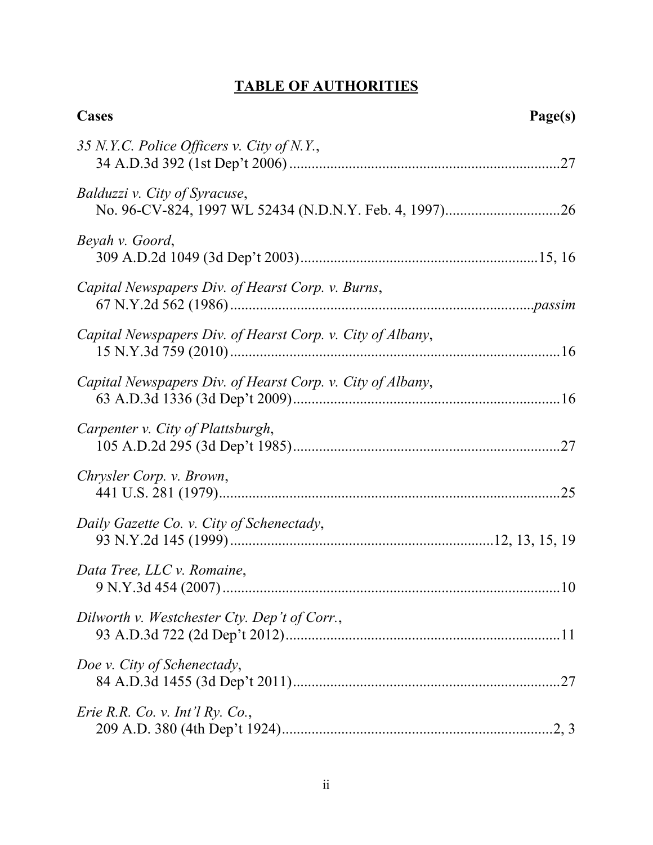# **TABLE OF AUTHORITIES**

| Cases                                                      | Page(s) |
|------------------------------------------------------------|---------|
| 35 N.Y.C. Police Officers v. City of N.Y.,                 |         |
| Balduzzi v. City of Syracuse,                              |         |
| Beyah v. Goord,                                            |         |
| Capital Newspapers Div. of Hearst Corp. v. Burns,          |         |
| Capital Newspapers Div. of Hearst Corp. v. City of Albany, |         |
| Capital Newspapers Div. of Hearst Corp. v. City of Albany, |         |
| Carpenter v. City of Plattsburgh,                          |         |
| Chrysler Corp. v. Brown,                                   |         |
| Daily Gazette Co. v. City of Schenectady,                  |         |
| Data Tree, LLC v. Romaine,                                 |         |
| Dilworth v. Westchester Cty. Dep't of Corr.,               |         |
| Doe v. City of Schenectady,                                |         |
| Erie R.R. Co. v. Int'l Ry. Co.,                            |         |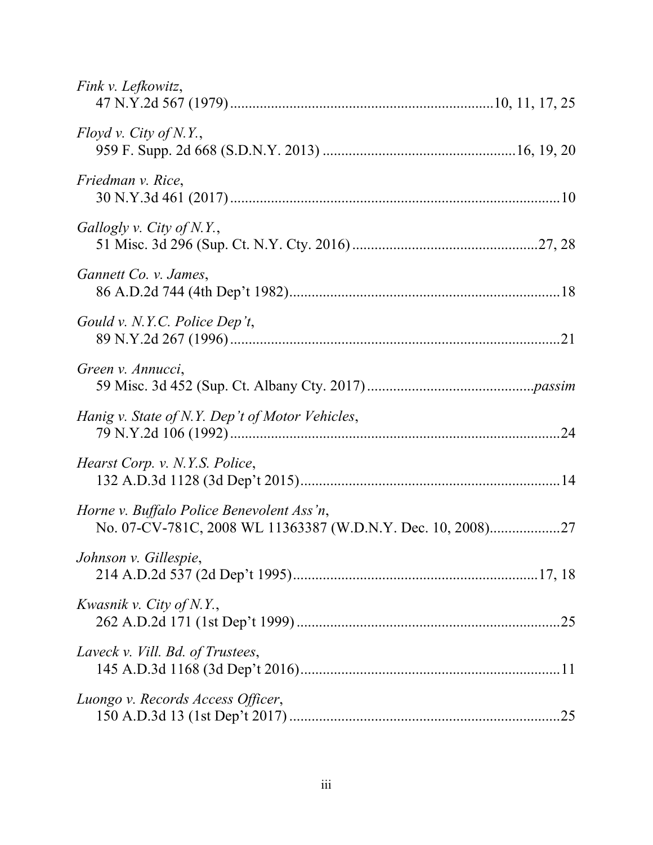| Fink v. Lefkowitz,                                                                                       |
|----------------------------------------------------------------------------------------------------------|
| Floyd v. City of N.Y.,                                                                                   |
| Friedman v. Rice,                                                                                        |
| Gallogly v. City of N.Y.,                                                                                |
| Gannett Co. v. James,                                                                                    |
| Gould v. N.Y.C. Police Dep't,                                                                            |
| Green v. Annucci,                                                                                        |
| Hanig v. State of N.Y. Dep't of Motor Vehicles,                                                          |
| Hearst Corp. v. N.Y.S. Police,                                                                           |
| Horne v. Buffalo Police Benevolent Ass'n,<br>No. 07-CV-781C, 2008 WL 11363387 (W.D.N.Y. Dec. 10, 2008)27 |
| Johnson v. Gillespie,                                                                                    |
| Kwasnik v. City of N.Y.,                                                                                 |
| Laveck v. Vill. Bd. of Trustees,                                                                         |
| Luongo v. Records Access Officer,<br>.25                                                                 |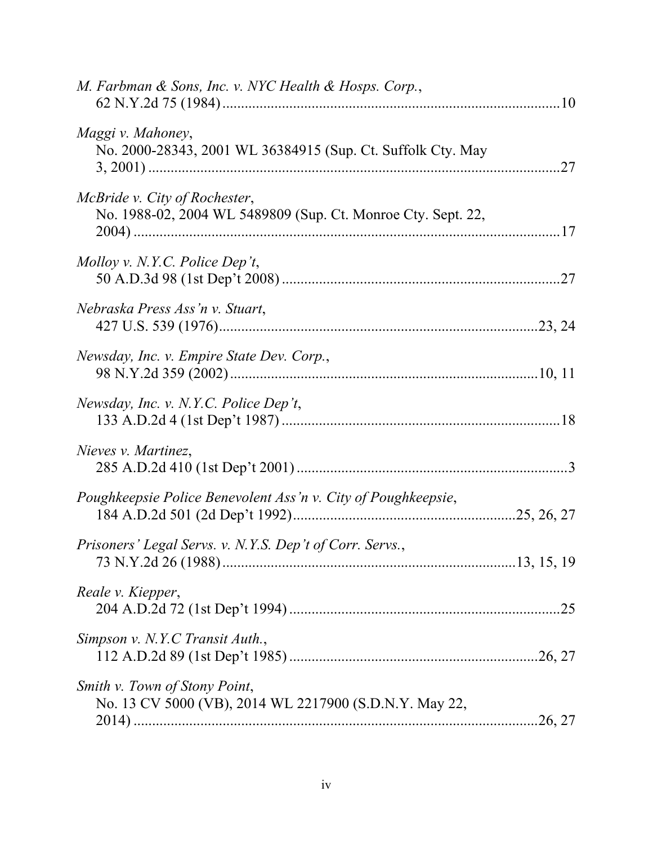| M. Farbman & Sons, Inc. v. NYC Health & Hosps. Corp.,                                         |  |
|-----------------------------------------------------------------------------------------------|--|
| Maggi v. Mahoney,<br>No. 2000-28343, 2001 WL 36384915 (Sup. Ct. Suffolk Cty. May              |  |
| McBride v. City of Rochester,<br>No. 1988-02, 2004 WL 5489809 (Sup. Ct. Monroe Cty. Sept. 22, |  |
| Molloy v. N.Y.C. Police Dep't,                                                                |  |
| Nebraska Press Ass'n v. Stuart,                                                               |  |
| Newsday, Inc. v. Empire State Dev. Corp.,                                                     |  |
| Newsday, Inc. v. N.Y.C. Police Dep't,                                                         |  |
| Nieves v. Martinez,                                                                           |  |
| Poughkeepsie Police Benevolent Ass'n v. City of Poughkeepsie,                                 |  |
| Prisoners' Legal Servs. v. N.Y.S. Dep't of Corr. Servs.,                                      |  |
| Reale v. Kiepper,                                                                             |  |
| Simpson v. N.Y.C Transit Auth.,                                                               |  |
| Smith v. Town of Stony Point,<br>No. 13 CV 5000 (VB), 2014 WL 2217900 (S.D.N.Y. May 22,       |  |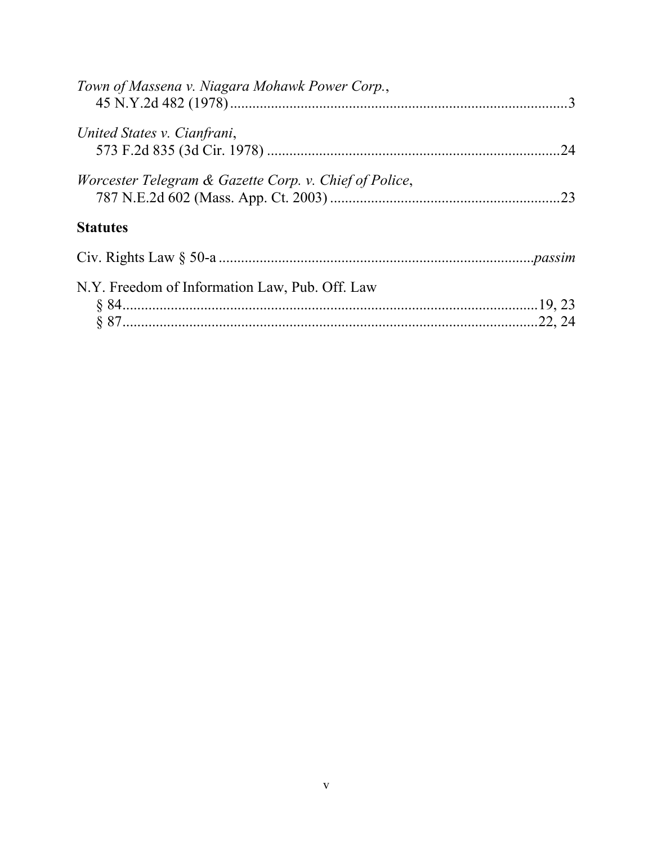| Town of Massena v. Niagara Mohawk Power Corp.,         |  |
|--------------------------------------------------------|--|
| United States v. Cianfrani,                            |  |
| Worcester Telegram & Gazette Corp. v. Chief of Police, |  |
| <b>Statutes</b>                                        |  |
|                                                        |  |
| N.Y. Freedom of Information Law, Pub. Off. Law         |  |
|                                                        |  |
|                                                        |  |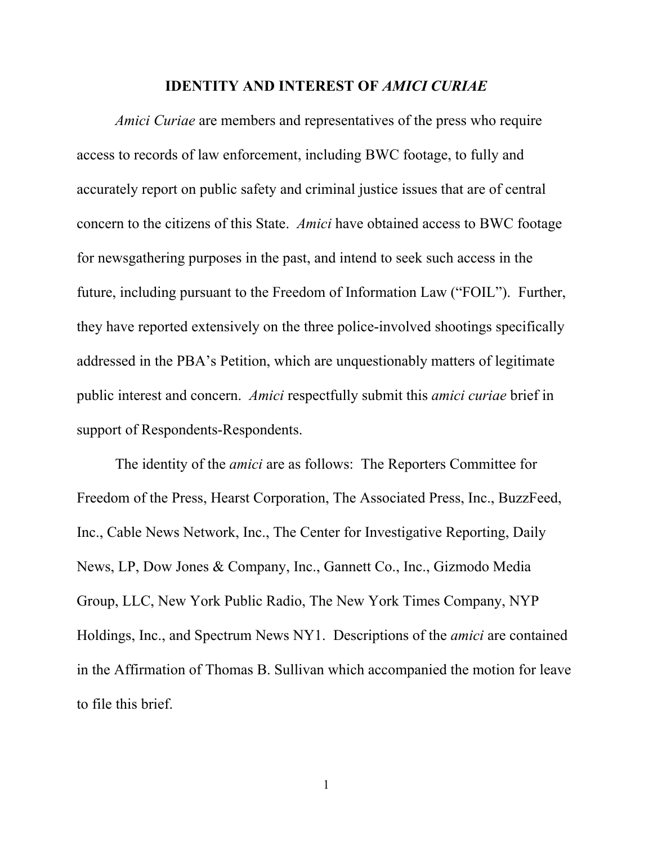#### **IDENTITY AND INTEREST OF** *AMICI CURIAE*

*Amici Curiae* are members and representatives of the press who require access to records of law enforcement, including BWC footage, to fully and accurately report on public safety and criminal justice issues that are of central concern to the citizens of this State. *Amici* have obtained access to BWC footage for newsgathering purposes in the past, and intend to seek such access in the future, including pursuant to the Freedom of Information Law ("FOIL"). Further, they have reported extensively on the three police-involved shootings specifically addressed in the PBA's Petition, which are unquestionably matters of legitimate public interest and concern. *Amici* respectfully submit this *amici curiae* brief in support of Respondents-Respondents.

The identity of the *amici* are as follows: The Reporters Committee for Freedom of the Press, Hearst Corporation, The Associated Press, Inc., BuzzFeed, Inc., Cable News Network, Inc., The Center for Investigative Reporting, Daily News, LP, Dow Jones & Company, Inc., Gannett Co., Inc., Gizmodo Media Group, LLC, New York Public Radio, The New York Times Company, NYP Holdings, Inc., and Spectrum News NY1. Descriptions of the *amici* are contained in the Affirmation of Thomas B. Sullivan which accompanied the motion for leave to file this brief.

1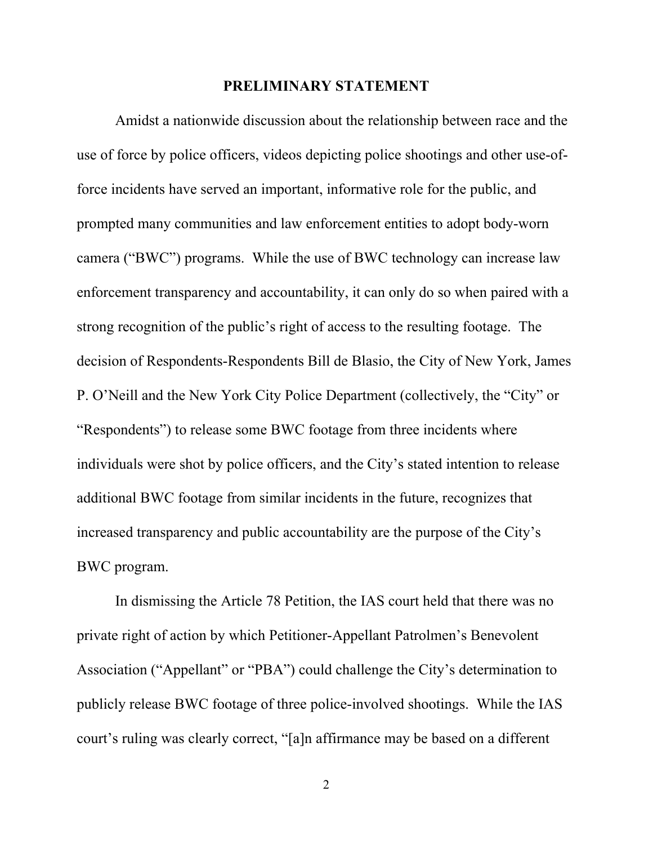#### **PRELIMINARY STATEMENT**

Amidst a nationwide discussion about the relationship between race and the use of force by police officers, videos depicting police shootings and other use-offorce incidents have served an important, informative role for the public, and prompted many communities and law enforcement entities to adopt body-worn camera ("BWC") programs. While the use of BWC technology can increase law enforcement transparency and accountability, it can only do so when paired with a strong recognition of the public's right of access to the resulting footage. The decision of Respondents-Respondents Bill de Blasio, the City of New York, James P. O'Neill and the New York City Police Department (collectively, the "City" or "Respondents") to release some BWC footage from three incidents where individuals were shot by police officers, and the City's stated intention to release additional BWC footage from similar incidents in the future, recognizes that increased transparency and public accountability are the purpose of the City's BWC program.

In dismissing the Article 78 Petition, the IAS court held that there was no private right of action by which Petitioner-Appellant Patrolmen's Benevolent Association ("Appellant" or "PBA") could challenge the City's determination to publicly release BWC footage of three police-involved shootings. While the IAS court's ruling was clearly correct, "[a]n affirmance may be based on a different

2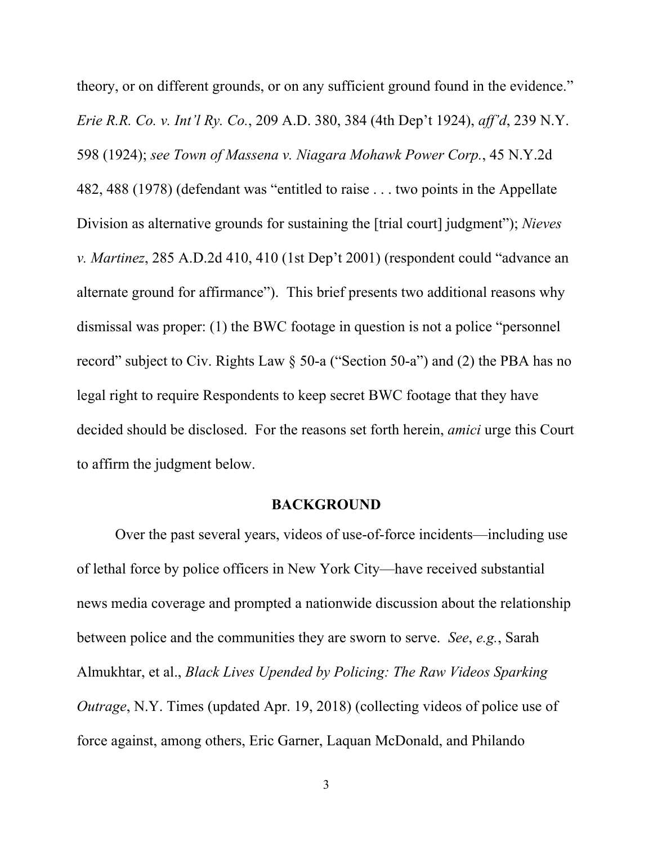theory, or on different grounds, or on any sufficient ground found in the evidence." *Erie R.R. Co. v. Int'l Ry. Co.*, 209 A.D. 380, 384 (4th Dep't 1924), *aff'd*, 239 N.Y. 598 (1924); *see Town of Massena v. Niagara Mohawk Power Corp.*, 45 N.Y.2d 482, 488 (1978) (defendant was "entitled to raise . . . two points in the Appellate Division as alternative grounds for sustaining the [trial court] judgment"); *Nieves v. Martinez*, 285 A.D.2d 410, 410 (1st Dep't 2001) (respondent could "advance an alternate ground for affirmance"). This brief presents two additional reasons why dismissal was proper: (1) the BWC footage in question is not a police "personnel record" subject to Civ. Rights Law § 50-a ("Section 50-a") and (2) the PBA has no legal right to require Respondents to keep secret BWC footage that they have decided should be disclosed. For the reasons set forth herein, *amici* urge this Court to affirm the judgment below.

#### **BACKGROUND**

Over the past several years, videos of use-of-force incidents—including use of lethal force by police officers in New York City—have received substantial news media coverage and prompted a nationwide discussion about the relationship between police and the communities they are sworn to serve. *See*, *e.g.*, Sarah Almukhtar, et al., *Black Lives Upended by Policing: The Raw Videos Sparking Outrage*, N.Y. Times (updated Apr. 19, 2018) (collecting videos of police use of force against, among others, Eric Garner, Laquan McDonald, and Philando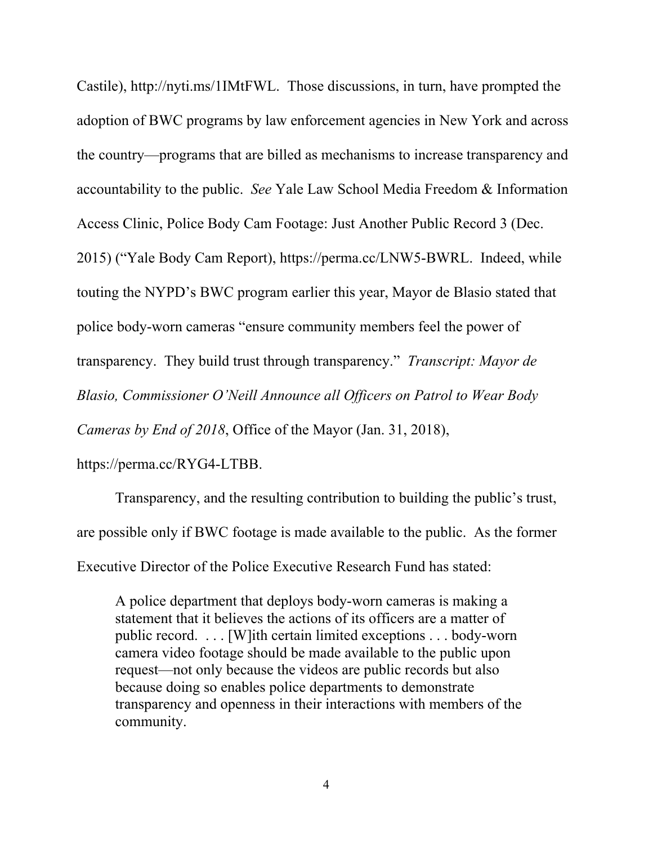Castile), http://nyti.ms/1IMtFWL. Those discussions, in turn, have prompted the adoption of BWC programs by law enforcement agencies in New York and across the country—programs that are billed as mechanisms to increase transparency and accountability to the public. *See* Yale Law School Media Freedom & Information Access Clinic, Police Body Cam Footage: Just Another Public Record 3 (Dec. 2015) ("Yale Body Cam Report), https://perma.cc/LNW5-BWRL. Indeed, while touting the NYPD's BWC program earlier this year, Mayor de Blasio stated that police body-worn cameras "ensure community members feel the power of transparency. They build trust through transparency." *Transcript: Mayor de Blasio, Commissioner O'Neill Announce all Officers on Patrol to Wear Body Cameras by End of 2018*, Office of the Mayor (Jan. 31, 2018),

https://perma.cc/RYG4-LTBB.

Transparency, and the resulting contribution to building the public's trust, are possible only if BWC footage is made available to the public. As the former Executive Director of the Police Executive Research Fund has stated:

A police department that deploys body-worn cameras is making a statement that it believes the actions of its officers are a matter of public record. . . . [W]ith certain limited exceptions . . . body-worn camera video footage should be made available to the public upon request—not only because the videos are public records but also because doing so enables police departments to demonstrate transparency and openness in their interactions with members of the community.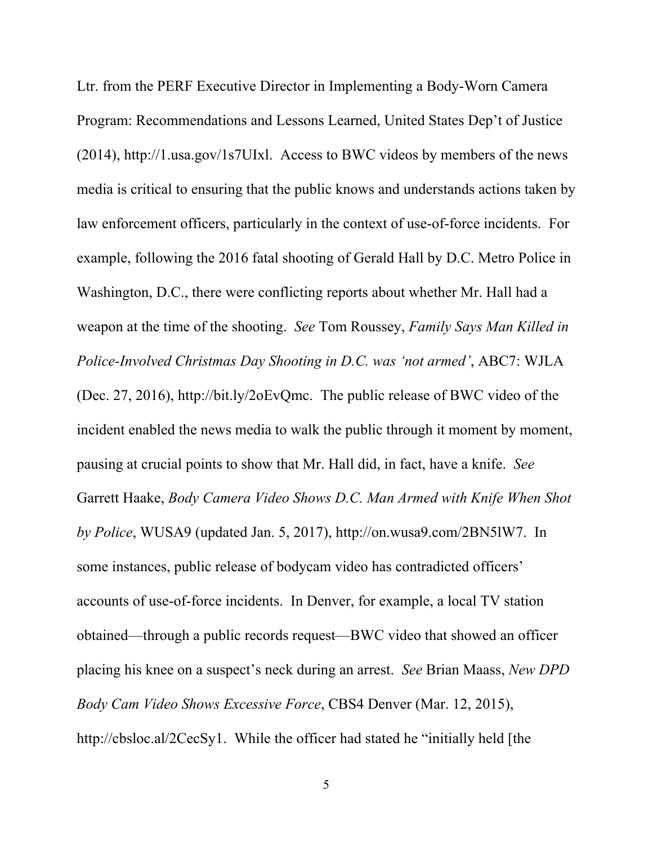Ltr. from the PERF Executive Director in Implementing a Body-Worn Camera Program: Recommendations and Lessons Learned, United States Dep't of Justice (2014), http://1.usa.gov/1s7UIxl. Access to BWC videos by members of the news media is critical to ensuring that the public knows and understands actions taken by law enforcement officers, particularly in the context of use-of-force incidents. For example, following the 2016 fatal shooting of Gerald Hall by D.C. Metro Police in Washington, D.C., there were conflicting reports about whether Mr. Hall had a weapon at the time of the shooting. *See* Tom Roussey, *Family Says Man Killed in Police-Involved Christmas Day Shooting in D.C. was 'not armed'*, ABC7: WJLA (Dec. 27, 2016), http://bit.ly/2oEvQmc. The public release of BWC video of the incident enabled the news media to walk the public through it moment by moment, pausing at crucial points to show that Mr. Hall did, in fact, have a knife. *See* Garrett Haake, *Body Camera Video Shows D.C. Man Armed with Knife When Shot by Police*, WUSA9 (updated Jan. 5, 2017), http://on.wusa9.com/2BN5lW7. In some instances, public release of bodycam video has contradicted officers' accounts of use-of-force incidents. In Denver, for example, a local TV station obtained—through a public records request—BWC video that showed an officer placing his knee on a suspect's neck during an arrest. *See* Brian Maass, *New DPD Body Cam Video Shows Excessive Force*, CBS4 Denver (Mar. 12, 2015), http://cbsloc.al/2CecSy1. While the officer had stated he "initially held [the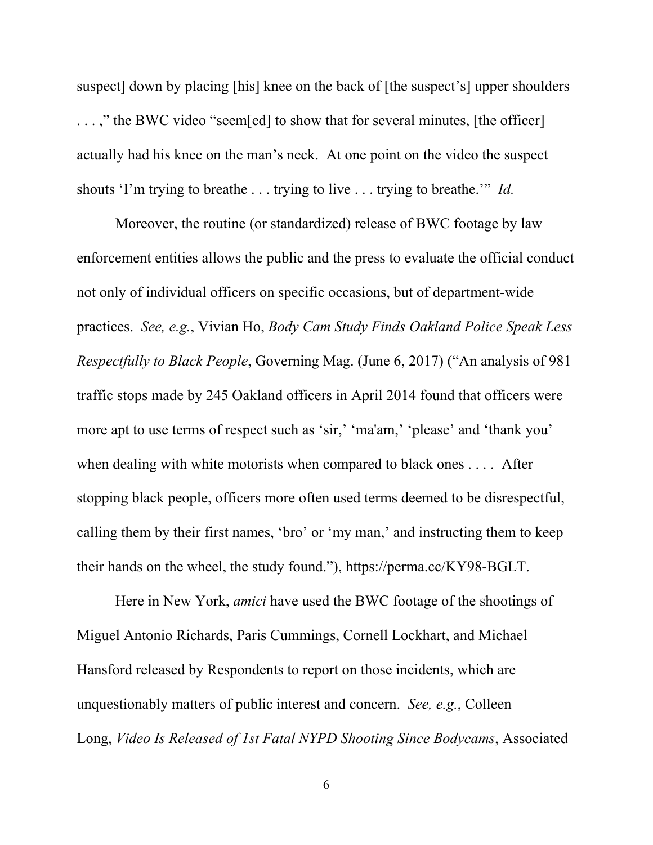suspect] down by placing [his] knee on the back of [the suspect's] upper shoulders . . . ," the BWC video "seem[ed] to show that for several minutes, [the officer] actually had his knee on the man's neck. At one point on the video the suspect shouts 'I'm trying to breathe . . . trying to live . . . trying to breathe.'" *Id.*

Moreover, the routine (or standardized) release of BWC footage by law enforcement entities allows the public and the press to evaluate the official conduct not only of individual officers on specific occasions, but of department-wide practices. *See, e.g.*, Vivian Ho, *Body Cam Study Finds Oakland Police Speak Less Respectfully to Black People*, Governing Mag. (June 6, 2017) ("An analysis of 981 traffic stops made by 245 Oakland officers in April 2014 found that officers were more apt to use terms of respect such as 'sir,' 'ma'am,' 'please' and 'thank you' when dealing with white motorists when compared to black ones . . . . After stopping black people, officers more often used terms deemed to be disrespectful, calling them by their first names, 'bro' or 'my man,' and instructing them to keep their hands on the wheel, the study found."), https://perma.cc/KY98-BGLT.

Here in New York, *amici* have used the BWC footage of the shootings of Miguel Antonio Richards, Paris Cummings, Cornell Lockhart, and Michael Hansford released by Respondents to report on those incidents, which are unquestionably matters of public interest and concern. *See, e.g.*, Colleen Long, *Video Is Released of 1st Fatal NYPD Shooting Since Bodycams*, Associated

6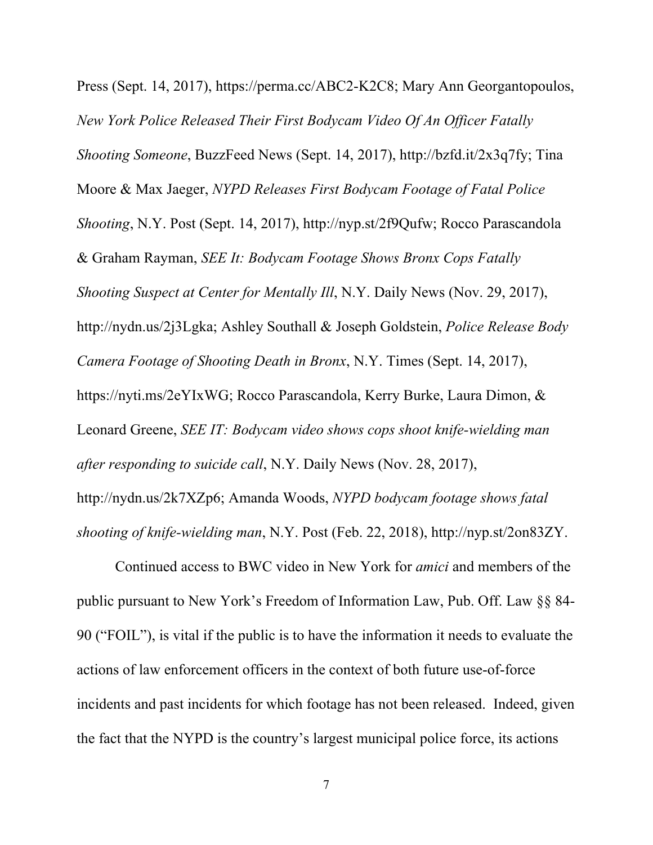Press (Sept. 14, 2017), https://perma.cc/ABC2-K2C8; Mary Ann Georgantopoulos, *New York Police Released Their First Bodycam Video Of An Officer Fatally Shooting Someone*, BuzzFeed News (Sept. 14, 2017), http://bzfd.it/2x3q7fy; Tina Moore & Max Jaeger, *NYPD Releases First Bodycam Footage of Fatal Police Shooting*, N.Y. Post (Sept. 14, 2017), http://nyp.st/2f9Qufw; Rocco Parascandola & Graham Rayman, *SEE It: Bodycam Footage Shows Bronx Cops Fatally Shooting Suspect at Center for Mentally Ill*, N.Y. Daily News (Nov. 29, 2017), http://nydn.us/2j3Lgka; Ashley Southall & Joseph Goldstein, *Police Release Body Camera Footage of Shooting Death in Bronx*, N.Y. Times (Sept. 14, 2017), https://nyti.ms/2eYIxWG; Rocco Parascandola, Kerry Burke, Laura Dimon, & Leonard Greene, *SEE IT: Bodycam video shows cops shoot knife-wielding man after responding to suicide call*, N.Y. Daily News (Nov. 28, 2017), http://nydn.us/2k7XZp6; Amanda Woods, *NYPD bodycam footage shows fatal shooting of knife-wielding man*, N.Y. Post (Feb. 22, 2018), http://nyp.st/2on83ZY.

Continued access to BWC video in New York for *amici* and members of the public pursuant to New York's Freedom of Information Law, Pub. Off. Law §§ 84- 90 ("FOIL"), is vital if the public is to have the information it needs to evaluate the actions of law enforcement officers in the context of both future use-of-force incidents and past incidents for which footage has not been released. Indeed, given the fact that the NYPD is the country's largest municipal police force, its actions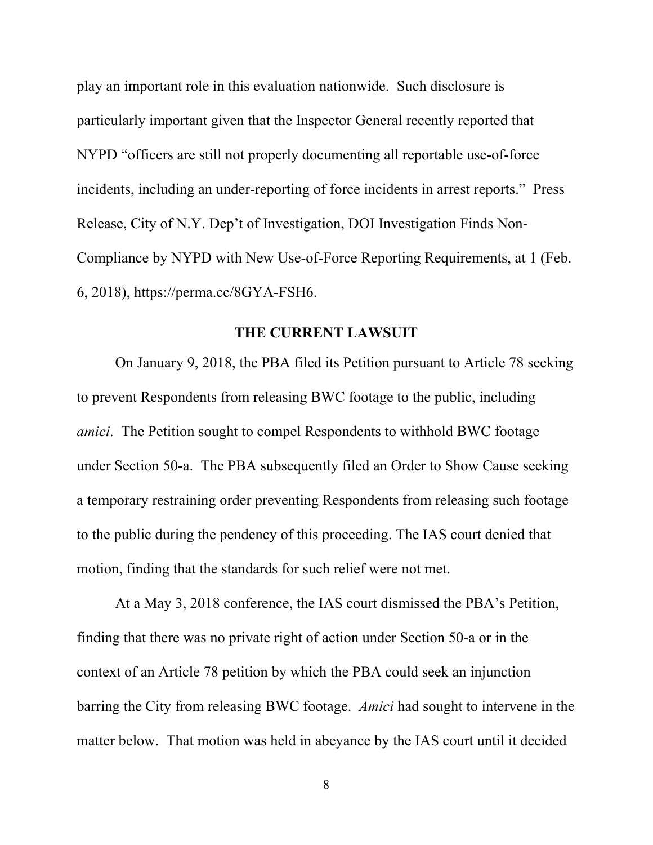play an important role in this evaluation nationwide. Such disclosure is particularly important given that the Inspector General recently reported that NYPD "officers are still not properly documenting all reportable use-of-force incidents, including an under-reporting of force incidents in arrest reports." Press Release, City of N.Y. Dep't of Investigation, DOI Investigation Finds Non-Compliance by NYPD with New Use-of-Force Reporting Requirements, at 1 (Feb. 6, 2018), https://perma.cc/8GYA-FSH6.

#### **THE CURRENT LAWSUIT**

On January 9, 2018, the PBA filed its Petition pursuant to Article 78 seeking to prevent Respondents from releasing BWC footage to the public, including *amici*. The Petition sought to compel Respondents to withhold BWC footage under Section 50-a. The PBA subsequently filed an Order to Show Cause seeking a temporary restraining order preventing Respondents from releasing such footage to the public during the pendency of this proceeding. The IAS court denied that motion, finding that the standards for such relief were not met.

At a May 3, 2018 conference, the IAS court dismissed the PBA's Petition, finding that there was no private right of action under Section 50-a or in the context of an Article 78 petition by which the PBA could seek an injunction barring the City from releasing BWC footage. *Amici* had sought to intervene in the matter below. That motion was held in abeyance by the IAS court until it decided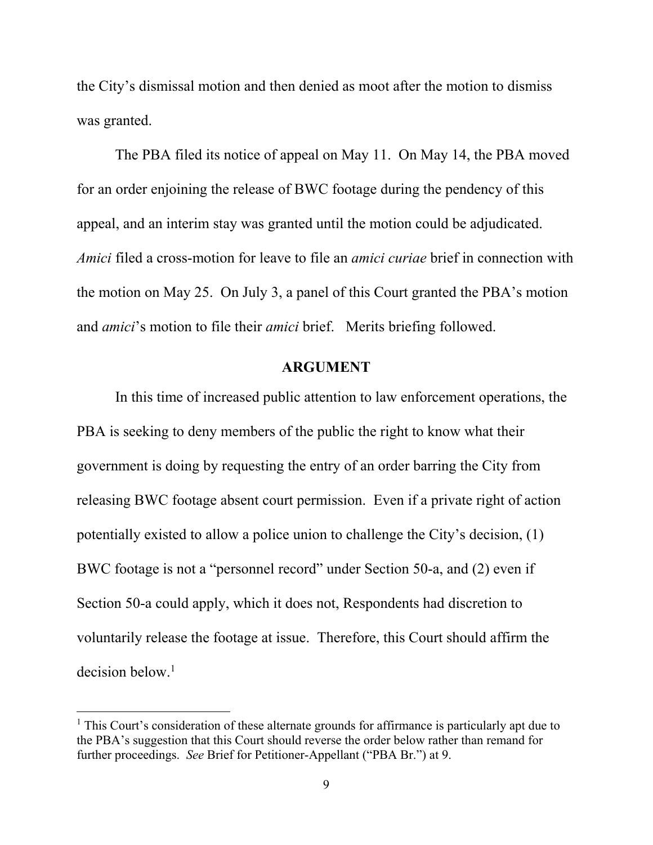the City's dismissal motion and then denied as moot after the motion to dismiss was granted.

The PBA filed its notice of appeal on May 11. On May 14, the PBA moved for an order enjoining the release of BWC footage during the pendency of this appeal, and an interim stay was granted until the motion could be adjudicated. *Amici* filed a cross-motion for leave to file an *amici curiae* brief in connection with the motion on May 25. On July 3, a panel of this Court granted the PBA's motion and *amici*'s motion to file their *amici* brief. Merits briefing followed.

#### **ARGUMENT**

In this time of increased public attention to law enforcement operations, the PBA is seeking to deny members of the public the right to know what their government is doing by requesting the entry of an order barring the City from releasing BWC footage absent court permission. Even if a private right of action potentially existed to allow a police union to challenge the City's decision, (1) BWC footage is not a "personnel record" under Section 50-a, and (2) even if Section 50-a could apply, which it does not, Respondents had discretion to voluntarily release the footage at issue. Therefore, this Court should affirm the decision below.<sup>1</sup>

 $\overline{a}$ 

<sup>&</sup>lt;sup>1</sup> This Court's consideration of these alternate grounds for affirmance is particularly apt due to the PBA's suggestion that this Court should reverse the order below rather than remand for further proceedings. *See* Brief for Petitioner-Appellant ("PBA Br.") at 9.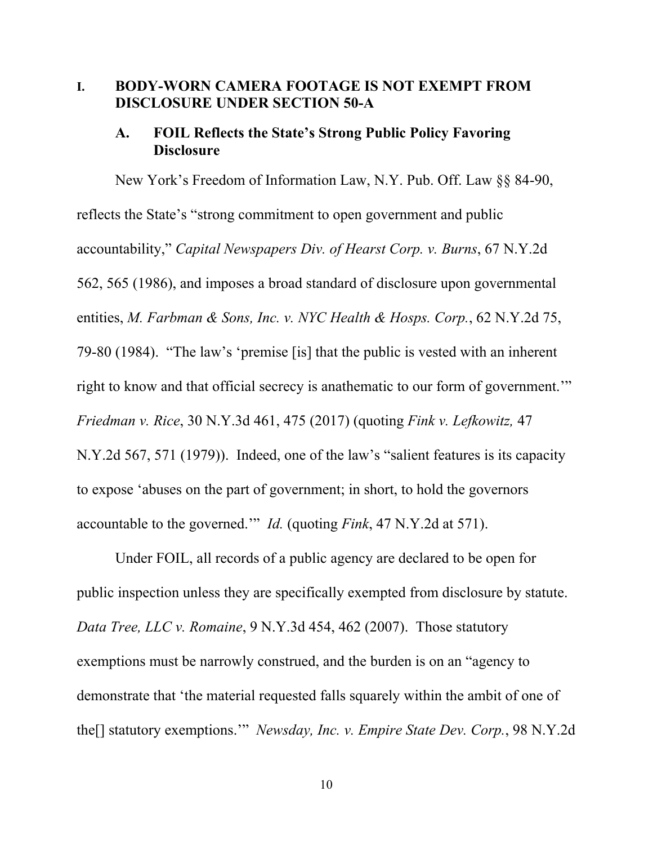## **I. BODY-WORN CAMERA FOOTAGE IS NOT EXEMPT FROM DISCLOSURE UNDER SECTION 50-A**

#### **A. FOIL Reflects the State's Strong Public Policy Favoring Disclosure**

New York's Freedom of Information Law, N.Y. Pub. Off. Law §§ 84-90, reflects the State's "strong commitment to open government and public accountability," *Capital Newspapers Div. of Hearst Corp. v. Burns*, 67 N.Y.2d 562, 565 (1986), and imposes a broad standard of disclosure upon governmental entities, *M. Farbman & Sons, Inc. v. NYC Health & Hosps. Corp.*, 62 N.Y.2d 75, 79-80 (1984). "The law's 'premise [is] that the public is vested with an inherent right to know and that official secrecy is anathematic to our form of government." *Friedman v. Rice*, 30 N.Y.3d 461, 475 (2017) (quoting *Fink v. Lefkowitz,* 47 N.Y.2d 567, 571 (1979)). Indeed, one of the law's "salient features is its capacity to expose 'abuses on the part of government; in short, to hold the governors accountable to the governed.'" *Id.* (quoting *Fink*, 47 N.Y.2d at 571).

Under FOIL, all records of a public agency are declared to be open for public inspection unless they are specifically exempted from disclosure by statute. *Data Tree, LLC v. Romaine*, 9 N.Y.3d 454, 462 (2007). Those statutory exemptions must be narrowly construed, and the burden is on an "agency to demonstrate that 'the material requested falls squarely within the ambit of one of the[] statutory exemptions.'" *Newsday, Inc. v. Empire State Dev. Corp.*, 98 N.Y.2d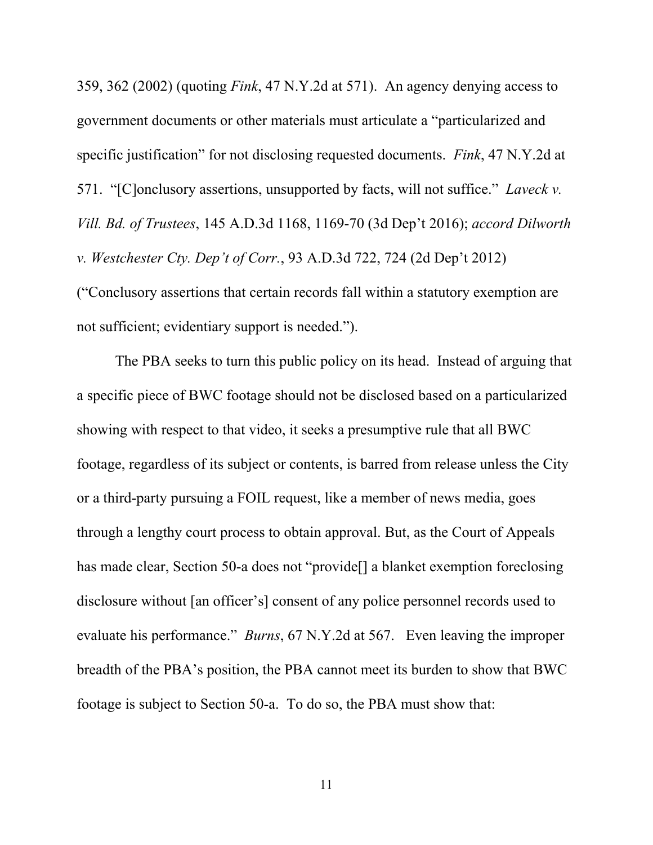359, 362 (2002) (quoting *Fink*, 47 N.Y.2d at 571). An agency denying access to government documents or other materials must articulate a "particularized and specific justification" for not disclosing requested documents. *Fink*, 47 N.Y.2d at 571. "[C]onclusory assertions, unsupported by facts, will not suffice." *Laveck v. Vill. Bd. of Trustees*, 145 A.D.3d 1168, 1169-70 (3d Dep't 2016); *accord Dilworth v. Westchester Cty. Dep't of Corr.*, 93 A.D.3d 722, 724 (2d Dep't 2012) ("Conclusory assertions that certain records fall within a statutory exemption are not sufficient; evidentiary support is needed.").

The PBA seeks to turn this public policy on its head. Instead of arguing that a specific piece of BWC footage should not be disclosed based on a particularized showing with respect to that video, it seeks a presumptive rule that all BWC footage, regardless of its subject or contents, is barred from release unless the City or a third-party pursuing a FOIL request, like a member of news media, goes through a lengthy court process to obtain approval. But, as the Court of Appeals has made clear, Section 50-a does not "provide[] a blanket exemption foreclosing disclosure without [an officer's] consent of any police personnel records used to evaluate his performance." *Burns*, 67 N.Y.2d at 567. Even leaving the improper breadth of the PBA's position, the PBA cannot meet its burden to show that BWC footage is subject to Section 50-a. To do so, the PBA must show that: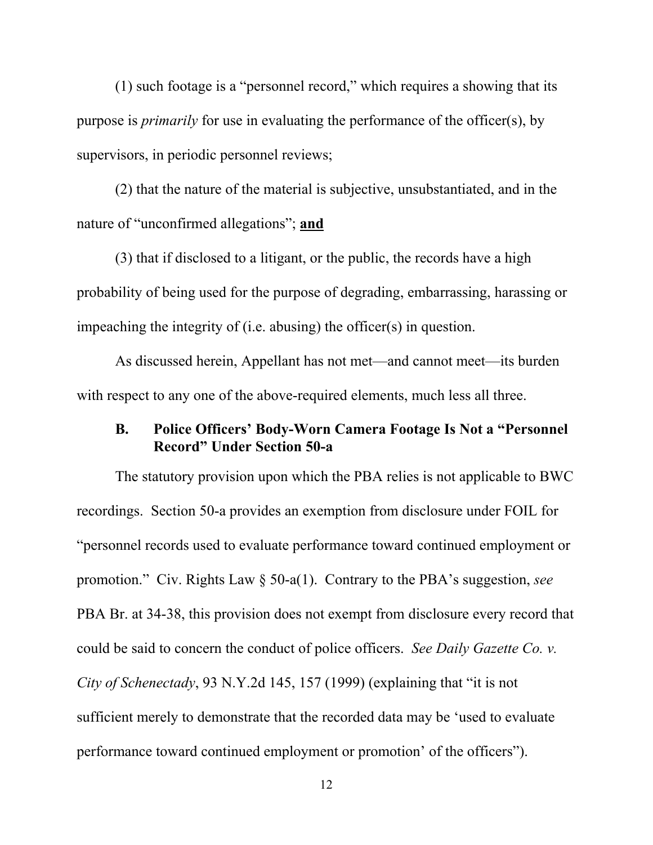(1) such footage is a "personnel record," which requires a showing that its purpose is *primarily* for use in evaluating the performance of the officer(s), by supervisors, in periodic personnel reviews;

(2) that the nature of the material is subjective, unsubstantiated, and in the nature of "unconfirmed allegations"; **and**

(3) that if disclosed to a litigant, or the public, the records have a high probability of being used for the purpose of degrading, embarrassing, harassing or impeaching the integrity of (i.e. abusing) the officer(s) in question.

As discussed herein, Appellant has not met—and cannot meet—its burden with respect to any one of the above-required elements, much less all three.

## **B. Police Officers' Body-Worn Camera Footage Is Not a "Personnel Record" Under Section 50-a**

The statutory provision upon which the PBA relies is not applicable to BWC recordings. Section 50-a provides an exemption from disclosure under FOIL for "personnel records used to evaluate performance toward continued employment or promotion." Civ. Rights Law § 50-a(1). Contrary to the PBA's suggestion, *see*  PBA Br. at 34-38, this provision does not exempt from disclosure every record that could be said to concern the conduct of police officers. *See Daily Gazette Co. v. City of Schenectady*, 93 N.Y.2d 145, 157 (1999) (explaining that "it is not sufficient merely to demonstrate that the recorded data may be 'used to evaluate performance toward continued employment or promotion' of the officers").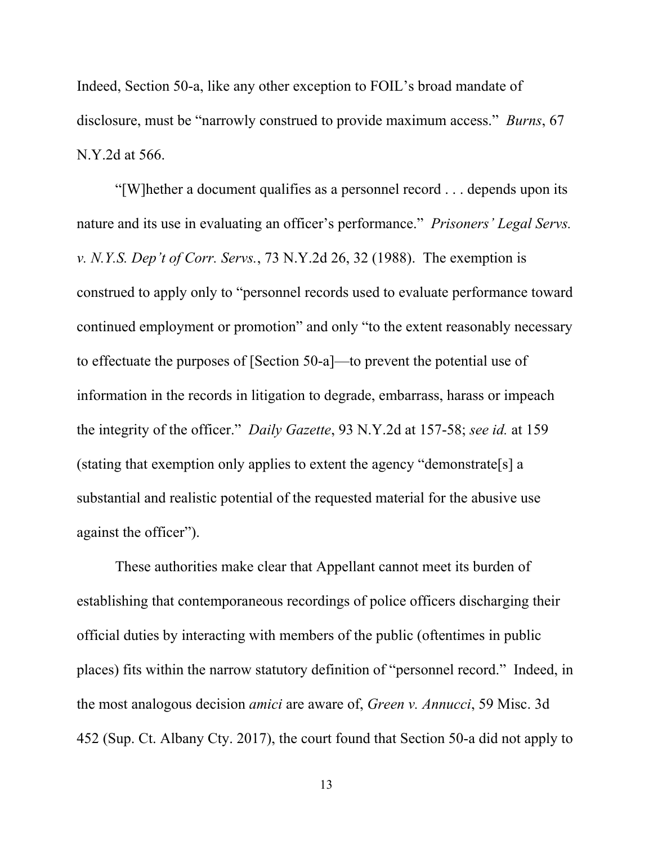Indeed, Section 50-a, like any other exception to FOIL's broad mandate of disclosure, must be "narrowly construed to provide maximum access." *Burns*, 67 N.Y.2d at 566.

"[W]hether a document qualifies as a personnel record . . . depends upon its nature and its use in evaluating an officer's performance." *Prisoners' Legal Servs. v. N.Y.S. Dep't of Corr. Servs.*, 73 N.Y.2d 26, 32 (1988). The exemption is construed to apply only to "personnel records used to evaluate performance toward continued employment or promotion" and only "to the extent reasonably necessary to effectuate the purposes of [Section 50-a]—to prevent the potential use of information in the records in litigation to degrade, embarrass, harass or impeach the integrity of the officer." *Daily Gazette*, 93 N.Y.2d at 157-58; *see id.* at 159 (stating that exemption only applies to extent the agency "demonstrate[s] a substantial and realistic potential of the requested material for the abusive use against the officer").

These authorities make clear that Appellant cannot meet its burden of establishing that contemporaneous recordings of police officers discharging their official duties by interacting with members of the public (oftentimes in public places) fits within the narrow statutory definition of "personnel record." Indeed, in the most analogous decision *amici* are aware of, *Green v. Annucci*, 59 Misc. 3d 452 (Sup. Ct. Albany Cty. 2017), the court found that Section 50-a did not apply to

13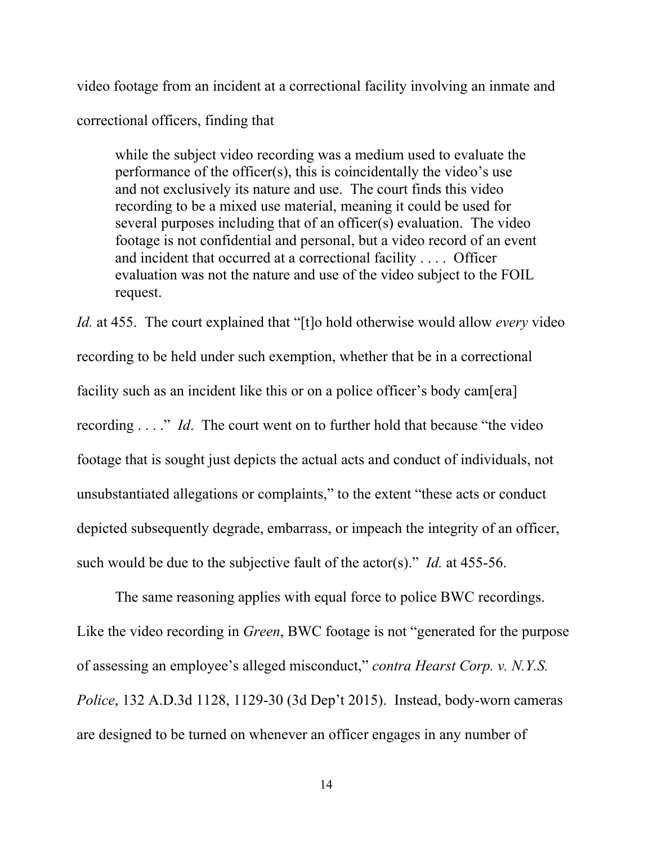video footage from an incident at a correctional facility involving an inmate and correctional officers, finding that

while the subject video recording was a medium used to evaluate the performance of the officer(s), this is coincidentally the video's use and not exclusively its nature and use. The court finds this video recording to be a mixed use material, meaning it could be used for several purposes including that of an officer(s) evaluation. The video footage is not confidential and personal, but a video record of an event and incident that occurred at a correctional facility . . . . Officer evaluation was not the nature and use of the video subject to the FOIL request.

*Id.* at 455. The court explained that "[t]o hold otherwise would allow *every* video recording to be held under such exemption, whether that be in a correctional facility such as an incident like this or on a police officer's body cam[era] recording . . . ." *Id*. The court went on to further hold that because "the video footage that is sought just depicts the actual acts and conduct of individuals, not unsubstantiated allegations or complaints," to the extent "these acts or conduct depicted subsequently degrade, embarrass, or impeach the integrity of an officer, such would be due to the subjective fault of the actor(s)." *Id.* at 455-56.

The same reasoning applies with equal force to police BWC recordings. Like the video recording in *Green*, BWC footage is not "generated for the purpose of assessing an employee's alleged misconduct," *contra Hearst Corp. v. N.Y.S. Police*, 132 A.D.3d 1128, 1129-30 (3d Dep't 2015). Instead, body-worn cameras are designed to be turned on whenever an officer engages in any number of

14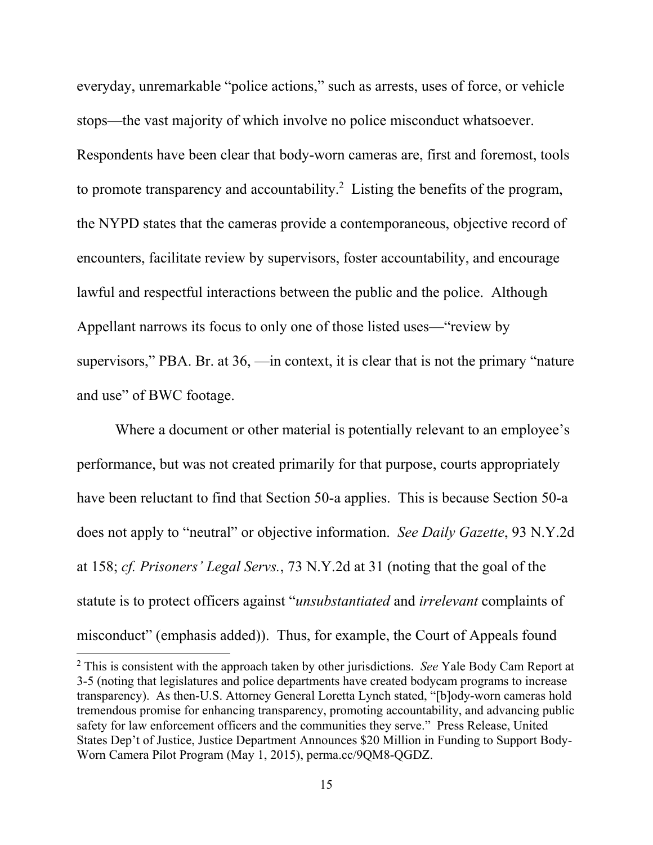everyday, unremarkable "police actions," such as arrests, uses of force, or vehicle stops—the vast majority of which involve no police misconduct whatsoever. Respondents have been clear that body-worn cameras are, first and foremost, tools to promote transparency and accountability.<sup>2</sup> Listing the benefits of the program, the NYPD states that the cameras provide a contemporaneous, objective record of encounters, facilitate review by supervisors, foster accountability, and encourage lawful and respectful interactions between the public and the police. Although Appellant narrows its focus to only one of those listed uses—"review by supervisors," PBA. Br. at 36, —in context, it is clear that is not the primary "nature and use" of BWC footage.

Where a document or other material is potentially relevant to an employee's performance, but was not created primarily for that purpose, courts appropriately have been reluctant to find that Section 50-a applies. This is because Section 50-a does not apply to "neutral" or objective information. *See Daily Gazette*, 93 N.Y.2d at 158; *cf. Prisoners' Legal Servs.*, 73 N.Y.2d at 31 (noting that the goal of the statute is to protect officers against "*unsubstantiated* and *irrelevant* complaints of misconduct" (emphasis added)). Thus, for example, the Court of Appeals found

 $\overline{a}$ 

<sup>2</sup> This is consistent with the approach taken by other jurisdictions. *See* Yale Body Cam Report at 3-5 (noting that legislatures and police departments have created bodycam programs to increase transparency). As then-U.S. Attorney General Loretta Lynch stated, "[b]ody-worn cameras hold tremendous promise for enhancing transparency, promoting accountability, and advancing public safety for law enforcement officers and the communities they serve." Press Release, United States Dep't of Justice, Justice Department Announces \$20 Million in Funding to Support Body-Worn Camera Pilot Program (May 1, 2015), perma.cc/9QM8-QGDZ.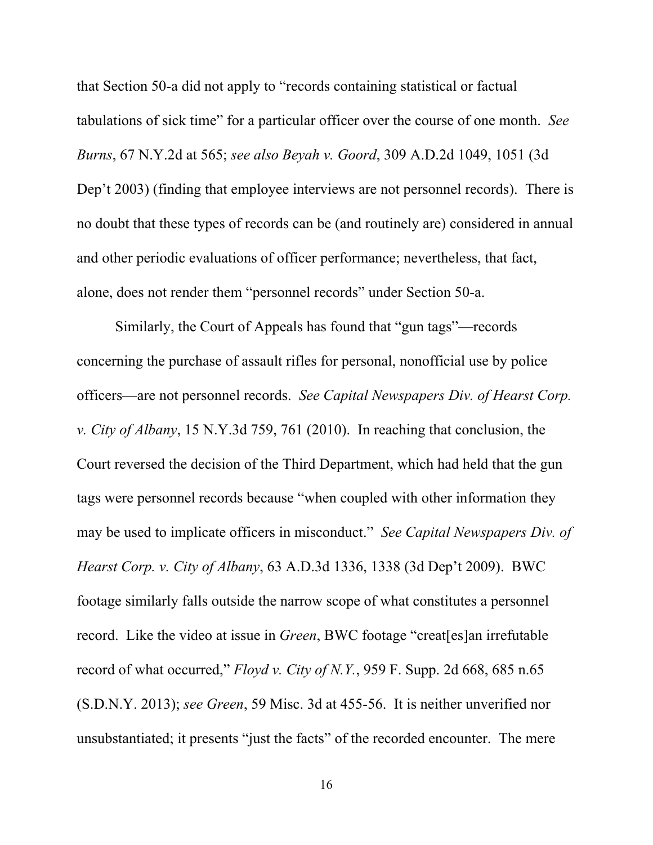that Section 50-a did not apply to "records containing statistical or factual tabulations of sick time" for a particular officer over the course of one month. *See Burns*, 67 N.Y.2d at 565; *see also Beyah v. Goord*, 309 A.D.2d 1049, 1051 (3d Dep't 2003) (finding that employee interviews are not personnel records). There is no doubt that these types of records can be (and routinely are) considered in annual and other periodic evaluations of officer performance; nevertheless, that fact, alone, does not render them "personnel records" under Section 50-a.

Similarly, the Court of Appeals has found that "gun tags"—records concerning the purchase of assault rifles for personal, nonofficial use by police officers—are not personnel records. *See Capital Newspapers Div. of Hearst Corp. v. City of Albany*, 15 N.Y.3d 759, 761 (2010). In reaching that conclusion, the Court reversed the decision of the Third Department, which had held that the gun tags were personnel records because "when coupled with other information they may be used to implicate officers in misconduct." *See Capital Newspapers Div. of Hearst Corp. v. City of Albany*, 63 A.D.3d 1336, 1338 (3d Dep't 2009). BWC footage similarly falls outside the narrow scope of what constitutes a personnel record. Like the video at issue in *Green*, BWC footage "creat[es]an irrefutable record of what occurred," *Floyd v. City of N.Y.*, 959 F. Supp. 2d 668, 685 n.65 (S.D.N.Y. 2013); *see Green*, 59 Misc. 3d at 455-56. It is neither unverified nor unsubstantiated; it presents "just the facts" of the recorded encounter. The mere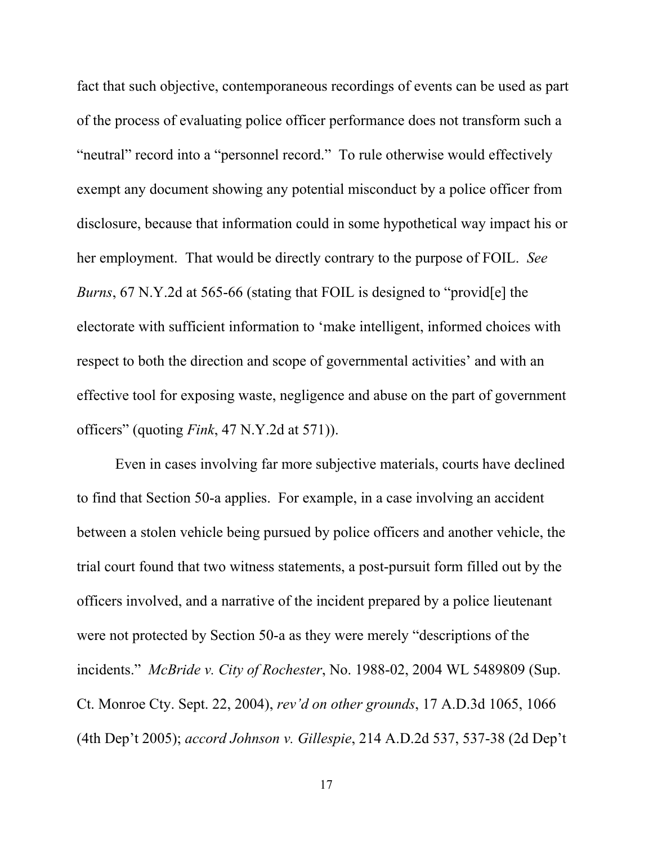fact that such objective, contemporaneous recordings of events can be used as part of the process of evaluating police officer performance does not transform such a "neutral" record into a "personnel record." To rule otherwise would effectively exempt any document showing any potential misconduct by a police officer from disclosure, because that information could in some hypothetical way impact his or her employment. That would be directly contrary to the purpose of FOIL. *See Burns*, 67 N.Y.2d at 565-66 (stating that FOIL is designed to "provid[e] the electorate with sufficient information to 'make intelligent, informed choices with respect to both the direction and scope of governmental activities' and with an effective tool for exposing waste, negligence and abuse on the part of government officers" (quoting *Fink*, 47 N.Y.2d at 571)).

Even in cases involving far more subjective materials, courts have declined to find that Section 50-a applies. For example, in a case involving an accident between a stolen vehicle being pursued by police officers and another vehicle, the trial court found that two witness statements, a post-pursuit form filled out by the officers involved, and a narrative of the incident prepared by a police lieutenant were not protected by Section 50-a as they were merely "descriptions of the incidents." *McBride v. City of Rochester*, No. 1988-02, 2004 WL 5489809 (Sup. Ct. Monroe Cty. Sept. 22, 2004), *rev'd on other grounds*, 17 A.D.3d 1065, 1066 (4th Dep't 2005); *accord Johnson v. Gillespie*, 214 A.D.2d 537, 537-38 (2d Dep't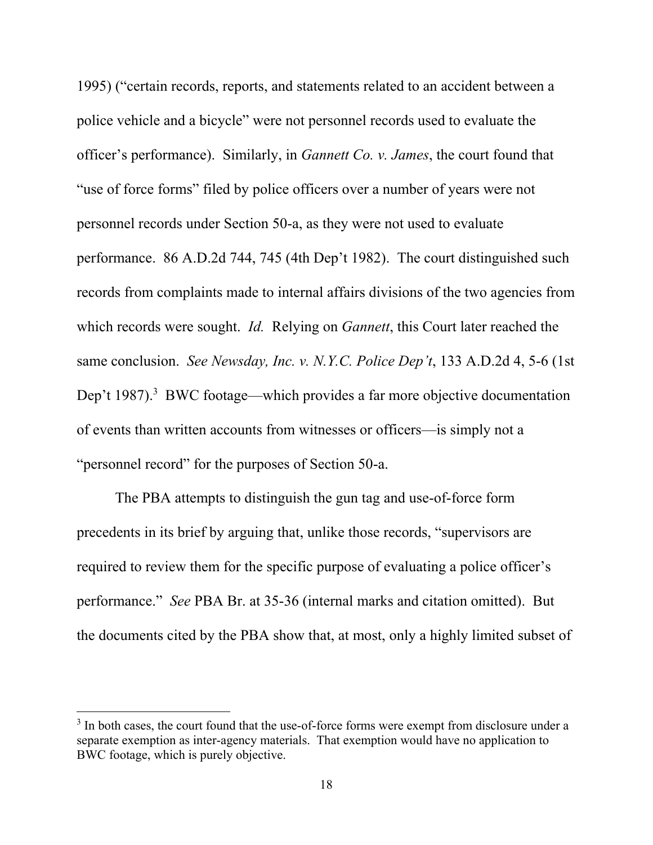1995) ("certain records, reports, and statements related to an accident between a police vehicle and a bicycle" were not personnel records used to evaluate the officer's performance). Similarly, in *Gannett Co. v. James*, the court found that "use of force forms" filed by police officers over a number of years were not personnel records under Section 50-a, as they were not used to evaluate performance. 86 A.D.2d 744, 745 (4th Dep't 1982). The court distinguished such records from complaints made to internal affairs divisions of the two agencies from which records were sought. *Id.* Relying on *Gannett*, this Court later reached the same conclusion. *See Newsday, Inc. v. N.Y.C. Police Dep't*, 133 A.D.2d 4, 5-6 (1st Dep't 1987).<sup>3</sup> BWC footage—which provides a far more objective documentation of events than written accounts from witnesses or officers—is simply not a "personnel record" for the purposes of Section 50-a.

The PBA attempts to distinguish the gun tag and use-of-force form precedents in its brief by arguing that, unlike those records, "supervisors are required to review them for the specific purpose of evaluating a police officer's performance." *See* PBA Br. at 35-36 (internal marks and citation omitted). But the documents cited by the PBA show that, at most, only a highly limited subset of

 $\overline{a}$ 

 $3$  In both cases, the court found that the use-of-force forms were exempt from disclosure under a separate exemption as inter-agency materials. That exemption would have no application to BWC footage, which is purely objective.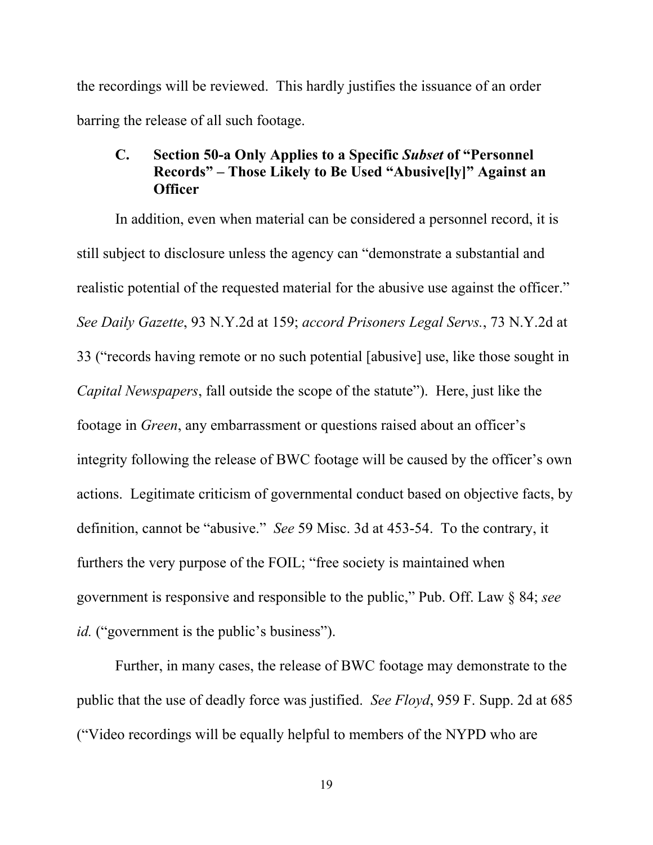the recordings will be reviewed. This hardly justifies the issuance of an order barring the release of all such footage.

# **C. Section 50-a Only Applies to a Specific** *Subset* **of "Personnel Records" – Those Likely to Be Used "Abusive[ly]" Against an Officer**

In addition, even when material can be considered a personnel record, it is still subject to disclosure unless the agency can "demonstrate a substantial and realistic potential of the requested material for the abusive use against the officer." *See Daily Gazette*, 93 N.Y.2d at 159; *accord Prisoners Legal Servs.*, 73 N.Y.2d at 33 ("records having remote or no such potential [abusive] use, like those sought in *Capital Newspapers*, fall outside the scope of the statute"). Here, just like the footage in *Green*, any embarrassment or questions raised about an officer's integrity following the release of BWC footage will be caused by the officer's own actions. Legitimate criticism of governmental conduct based on objective facts, by definition, cannot be "abusive." *See* 59 Misc. 3d at 453-54. To the contrary, it furthers the very purpose of the FOIL; "free society is maintained when government is responsive and responsible to the public," Pub. Off. Law § 84; *see id.* ("government is the public's business").

Further, in many cases, the release of BWC footage may demonstrate to the public that the use of deadly force was justified. *See Floyd*, 959 F. Supp. 2d at 685 ("Video recordings will be equally helpful to members of the NYPD who are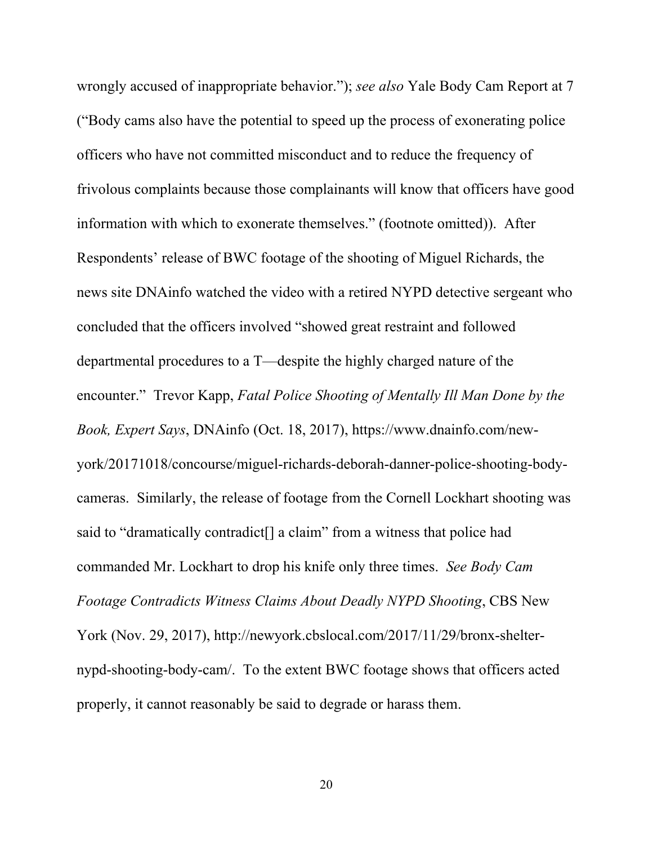wrongly accused of inappropriate behavior."); *see also* Yale Body Cam Report at 7 ("Body cams also have the potential to speed up the process of exonerating police officers who have not committed misconduct and to reduce the frequency of frivolous complaints because those complainants will know that officers have good information with which to exonerate themselves." (footnote omitted)). After Respondents' release of BWC footage of the shooting of Miguel Richards, the news site DNAinfo watched the video with a retired NYPD detective sergeant who concluded that the officers involved "showed great restraint and followed departmental procedures to a T—despite the highly charged nature of the encounter." Trevor Kapp, *Fatal Police Shooting of Mentally Ill Man Done by the Book, Expert Says*, DNAinfo (Oct. 18, 2017), https://www.dnainfo.com/newyork/20171018/concourse/miguel-richards-deborah-danner-police-shooting-bodycameras. Similarly, the release of footage from the Cornell Lockhart shooting was said to "dramatically contradict<sup>[]</sup> a claim" from a witness that police had commanded Mr. Lockhart to drop his knife only three times. *See Body Cam Footage Contradicts Witness Claims About Deadly NYPD Shooting*, CBS New York (Nov. 29, 2017), http://newyork.cbslocal.com/2017/11/29/bronx-shelternypd-shooting-body-cam/. To the extent BWC footage shows that officers acted properly, it cannot reasonably be said to degrade or harass them.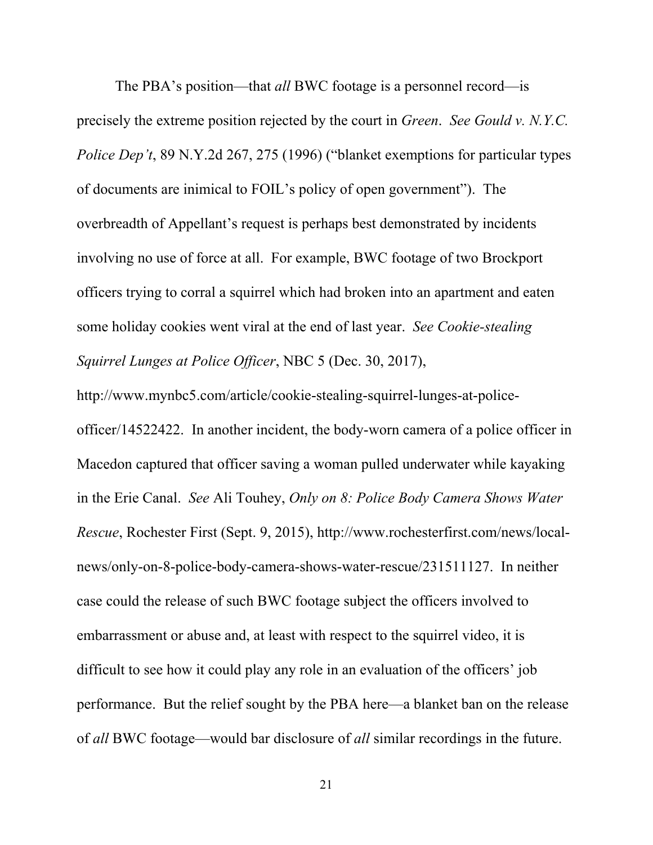The PBA's position—that *all* BWC footage is a personnel record—is precisely the extreme position rejected by the court in *Green*. *See Gould v. N.Y.C. Police Dep't*, 89 N.Y.2d 267, 275 (1996) ("blanket exemptions for particular types of documents are inimical to FOIL's policy of open government"). The overbreadth of Appellant's request is perhaps best demonstrated by incidents involving no use of force at all. For example, BWC footage of two Brockport officers trying to corral a squirrel which had broken into an apartment and eaten some holiday cookies went viral at the end of last year. *See Cookie-stealing Squirrel Lunges at Police Officer*, NBC 5 (Dec. 30, 2017),

http://www.mynbc5.com/article/cookie-stealing-squirrel-lunges-at-policeofficer/14522422. In another incident, the body-worn camera of a police officer in Macedon captured that officer saving a woman pulled underwater while kayaking in the Erie Canal. *See* Ali Touhey, *Only on 8: Police Body Camera Shows Water Rescue*, Rochester First (Sept. 9, 2015), http://www.rochesterfirst.com/news/localnews/only-on-8-police-body-camera-shows-water-rescue/231511127. In neither case could the release of such BWC footage subject the officers involved to embarrassment or abuse and, at least with respect to the squirrel video, it is difficult to see how it could play any role in an evaluation of the officers' job performance. But the relief sought by the PBA here—a blanket ban on the release of *all* BWC footage—would bar disclosure of *all* similar recordings in the future.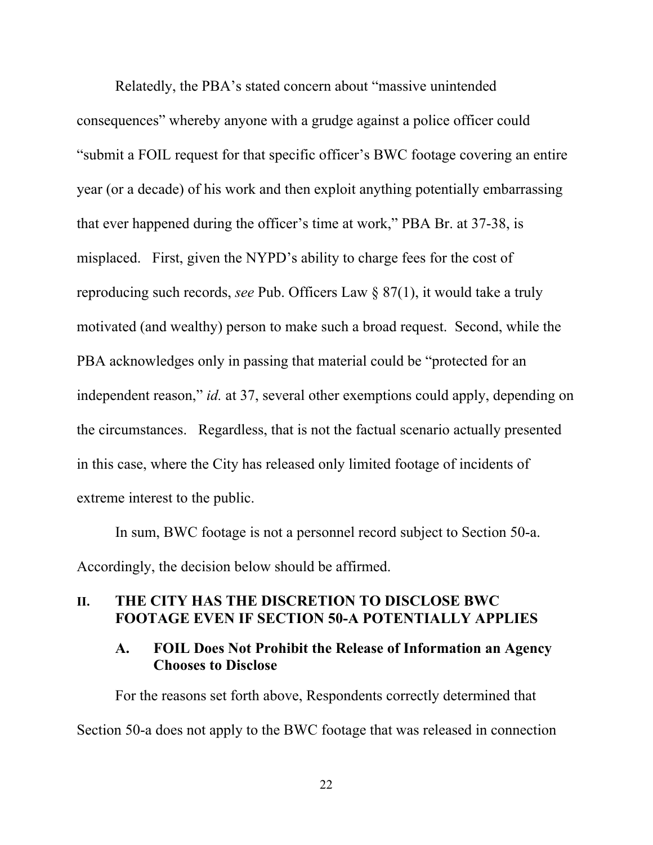Relatedly, the PBA's stated concern about "massive unintended consequences" whereby anyone with a grudge against a police officer could "submit a FOIL request for that specific officer's BWC footage covering an entire year (or a decade) of his work and then exploit anything potentially embarrassing that ever happened during the officer's time at work," PBA Br. at 37-38, is misplaced. First, given the NYPD's ability to charge fees for the cost of reproducing such records, *see* Pub. Officers Law § 87(1), it would take a truly motivated (and wealthy) person to make such a broad request. Second, while the PBA acknowledges only in passing that material could be "protected for an independent reason," *id.* at 37, several other exemptions could apply, depending on the circumstances. Regardless, that is not the factual scenario actually presented in this case, where the City has released only limited footage of incidents of extreme interest to the public.

In sum, BWC footage is not a personnel record subject to Section 50-a. Accordingly, the decision below should be affirmed.

## **II. THE CITY HAS THE DISCRETION TO DISCLOSE BWC FOOTAGE EVEN IF SECTION 50-A POTENTIALLY APPLIES**

## **A. FOIL Does Not Prohibit the Release of Information an Agency Chooses to Disclose**

For the reasons set forth above, Respondents correctly determined that Section 50-a does not apply to the BWC footage that was released in connection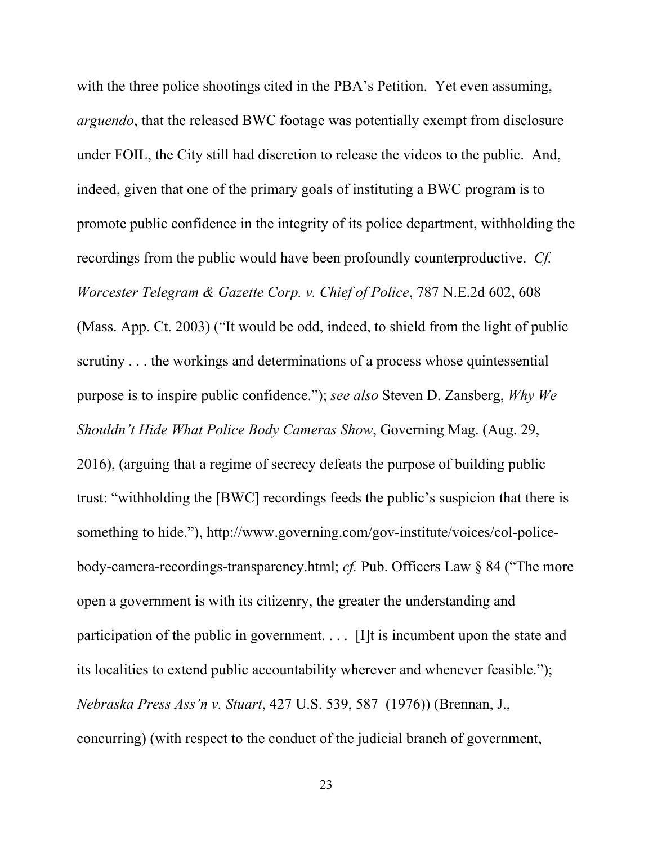with the three police shootings cited in the PBA's Petition. Yet even assuming, *arguendo*, that the released BWC footage was potentially exempt from disclosure under FOIL, the City still had discretion to release the videos to the public. And, indeed, given that one of the primary goals of instituting a BWC program is to promote public confidence in the integrity of its police department, withholding the recordings from the public would have been profoundly counterproductive. *Cf. Worcester Telegram & Gazette Corp. v. Chief of Police*, 787 N.E.2d 602, 608 (Mass. App. Ct. 2003) ("It would be odd, indeed, to shield from the light of public scrutiny . . . the workings and determinations of a process whose quintessential purpose is to inspire public confidence."); *see also* Steven D. Zansberg, *Why We Shouldn't Hide What Police Body Cameras Show*, Governing Mag. (Aug. 29, 2016), (arguing that a regime of secrecy defeats the purpose of building public trust: "withholding the [BWC] recordings feeds the public's suspicion that there is something to hide."), http://www.governing.com/gov-institute/voices/col-policebody-camera-recordings-transparency.html; *cf.* Pub. Officers Law § 84 ("The more open a government is with its citizenry, the greater the understanding and participation of the public in government. . . . [I]t is incumbent upon the state and its localities to extend public accountability wherever and whenever feasible."); *Nebraska Press Ass'n v. Stuart*, 427 U.S. 539, 587 (1976)) (Brennan, J., concurring) (with respect to the conduct of the judicial branch of government,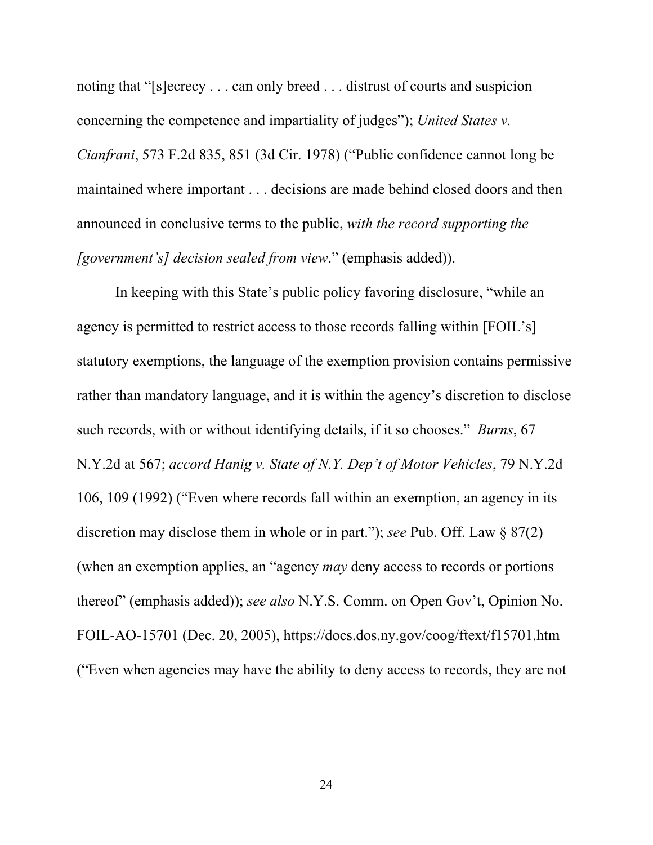noting that "[s]ecrecy . . . can only breed . . . distrust of courts and suspicion concerning the competence and impartiality of judges"); *United States v. Cianfrani*, 573 F.2d 835, 851 (3d Cir. 1978) ("Public confidence cannot long be maintained where important . . . decisions are made behind closed doors and then announced in conclusive terms to the public, *with the record supporting the [government's] decision sealed from view*." (emphasis added)).

In keeping with this State's public policy favoring disclosure, "while an agency is permitted to restrict access to those records falling within [FOIL's] statutory exemptions, the language of the exemption provision contains permissive rather than mandatory language, and it is within the agency's discretion to disclose such records, with or without identifying details, if it so chooses." *Burns*, 67 N.Y.2d at 567; *accord Hanig v. State of N.Y. Dep't of Motor Vehicles*, 79 N.Y.2d 106, 109 (1992) ("Even where records fall within an exemption, an agency in its discretion may disclose them in whole or in part."); *see* Pub. Off. Law § 87(2) (when an exemption applies, an "agency *may* deny access to records or portions thereof" (emphasis added)); *see also* N.Y.S. Comm. on Open Gov't, Opinion No. FOIL-AO-15701 (Dec. 20, 2005), https://docs.dos.ny.gov/coog/ftext/f15701.htm ("Even when agencies may have the ability to deny access to records, they are not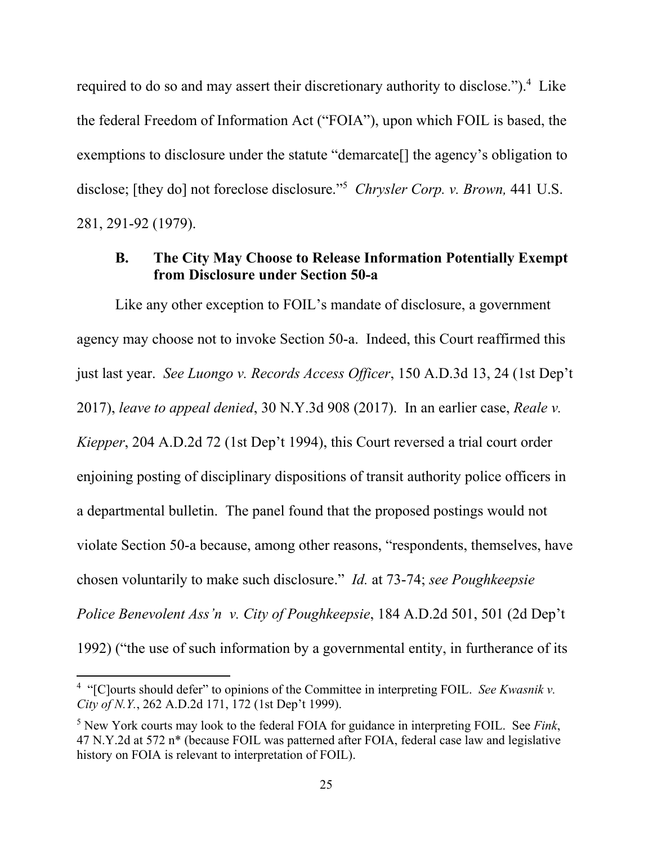required to do so and may assert their discretionary authority to disclose.").<sup>4</sup> Like the federal Freedom of Information Act ("FOIA"), upon which FOIL is based, the exemptions to disclosure under the statute "demarcate[] the agency's obligation to disclose; [they do] not foreclose disclosure."5 *Chrysler Corp. v. Brown,* 441 U.S. 281, 291-92 (1979).

## **B. The City May Choose to Release Information Potentially Exempt from Disclosure under Section 50-a**

Like any other exception to FOIL's mandate of disclosure, a government agency may choose not to invoke Section 50-a. Indeed, this Court reaffirmed this just last year. *See Luongo v. Records Access Officer*, 150 A.D.3d 13, 24 (1st Dep't 2017), *leave to appeal denied*, 30 N.Y.3d 908 (2017). In an earlier case, *Reale v. Kiepper*, 204 A.D.2d 72 (1st Dep't 1994), this Court reversed a trial court order enjoining posting of disciplinary dispositions of transit authority police officers in a departmental bulletin. The panel found that the proposed postings would not violate Section 50-a because, among other reasons, "respondents, themselves, have chosen voluntarily to make such disclosure." *Id.* at 73-74; *see Poughkeepsie Police Benevolent Ass'n v. City of Poughkeepsie*, 184 A.D.2d 501, 501 (2d Dep't 1992) ("the use of such information by a governmental entity, in furtherance of its

 $\overline{a}$ 

<sup>&</sup>lt;sup>4</sup> "[C]ourts should defer" to opinions of the Committee in interpreting FOIL. *See Kwasnik v*. *City of N.Y.*, 262 A.D.2d 171, 172 (1st Dep't 1999).

<sup>5</sup> New York courts may look to the federal FOIA for guidance in interpreting FOIL. See *Fink*, 47 N.Y.2d at 572 n\* (because FOIL was patterned after FOIA, federal case law and legislative history on FOIA is relevant to interpretation of FOIL).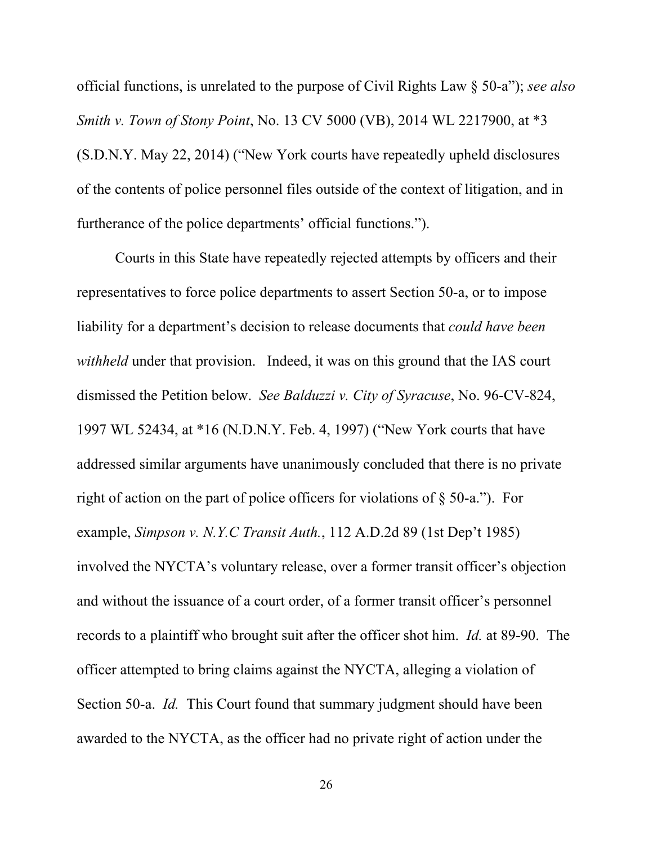official functions, is unrelated to the purpose of Civil Rights Law § 50-a"); *see also Smith v. Town of Stony Point*, No. 13 CV 5000 (VB), 2014 WL 2217900, at \*3 (S.D.N.Y. May 22, 2014) ("New York courts have repeatedly upheld disclosures of the contents of police personnel files outside of the context of litigation, and in furtherance of the police departments' official functions.").

Courts in this State have repeatedly rejected attempts by officers and their representatives to force police departments to assert Section 50-a, or to impose liability for a department's decision to release documents that *could have been withheld* under that provision. Indeed, it was on this ground that the IAS court dismissed the Petition below. *See Balduzzi v. City of Syracuse*, No. 96-CV-824, 1997 WL 52434, at \*16 (N.D.N.Y. Feb. 4, 1997) ("New York courts that have addressed similar arguments have unanimously concluded that there is no private right of action on the part of police officers for violations of § 50-a."). For example, *Simpson v. N.Y.C Transit Auth.*, 112 A.D.2d 89 (1st Dep't 1985) involved the NYCTA's voluntary release, over a former transit officer's objection and without the issuance of a court order, of a former transit officer's personnel records to a plaintiff who brought suit after the officer shot him. *Id.* at 89-90. The officer attempted to bring claims against the NYCTA, alleging a violation of Section 50-a. *Id.* This Court found that summary judgment should have been awarded to the NYCTA, as the officer had no private right of action under the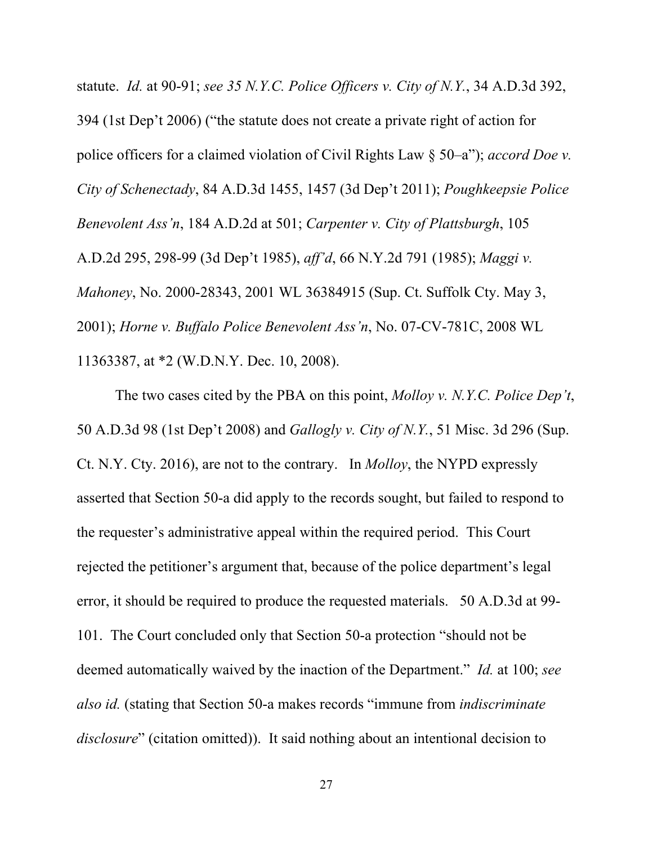statute. *Id.* at 90-91; *see 35 N.Y.C. Police Officers v. City of N.Y.*, 34 A.D.3d 392, 394 (1st Dep't 2006) ("the statute does not create a private right of action for police officers for a claimed violation of Civil Rights Law § 50–a"); *accord Doe v. City of Schenectady*, 84 A.D.3d 1455, 1457 (3d Dep't 2011); *Poughkeepsie Police Benevolent Ass'n*, 184 A.D.2d at 501; *Carpenter v. City of Plattsburgh*, 105 A.D.2d 295, 298-99 (3d Dep't 1985), *aff'd*, 66 N.Y.2d 791 (1985); *Maggi v. Mahoney*, No. 2000-28343, 2001 WL 36384915 (Sup. Ct. Suffolk Cty. May 3, 2001); *Horne v. Buffalo Police Benevolent Ass'n*, No. 07-CV-781C, 2008 WL 11363387, at \*2 (W.D.N.Y. Dec. 10, 2008).

The two cases cited by the PBA on this point, *Molloy v. N.Y.C. Police Dep't*, 50 A.D.3d 98 (1st Dep't 2008) and *Gallogly v. City of N.Y.*, 51 Misc. 3d 296 (Sup. Ct. N.Y. Cty. 2016), are not to the contrary. In *Molloy*, the NYPD expressly asserted that Section 50-a did apply to the records sought, but failed to respond to the requester's administrative appeal within the required period. This Court rejected the petitioner's argument that, because of the police department's legal error, it should be required to produce the requested materials. 50 A.D.3d at 99- 101. The Court concluded only that Section 50-a protection "should not be deemed automatically waived by the inaction of the Department." *Id.* at 100; *see also id.* (stating that Section 50-a makes records "immune from *indiscriminate disclosure*" (citation omitted)). It said nothing about an intentional decision to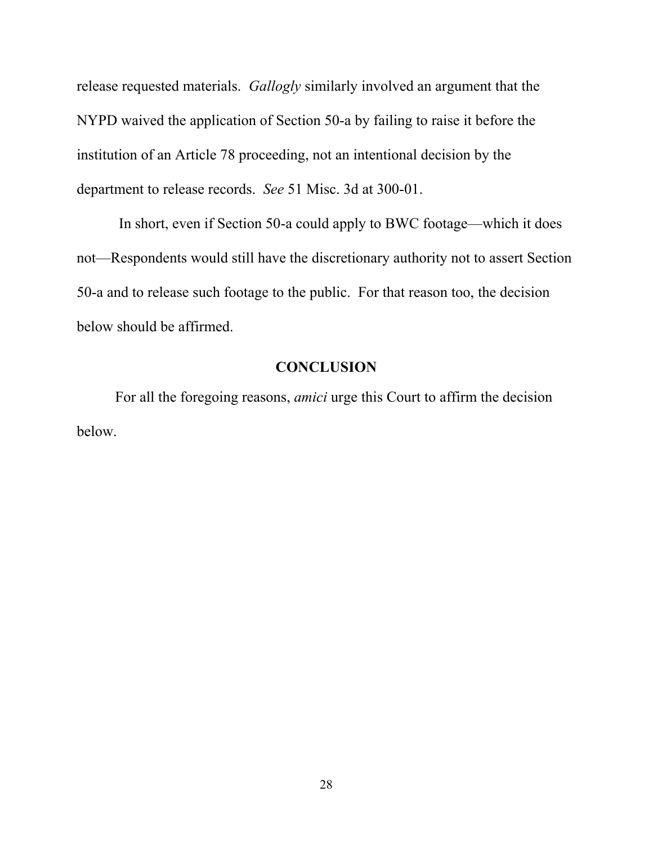release requested materials. *Gallogly* similarly involved an argument that the NYPD waived the application of Section 50-a by failing to raise it before the institution of an Article 78 proceeding, not an intentional decision by the department to release records. *See* 51 Misc. 3d at 300-01.

 In short, even if Section 50-a could apply to BWC footage—which it does not—Respondents would still have the discretionary authority not to assert Section 50-a and to release such footage to the public. For that reason too, the decision below should be affirmed.

#### **CONCLUSION**

For all the foregoing reasons, *amici* urge this Court to affirm the decision below.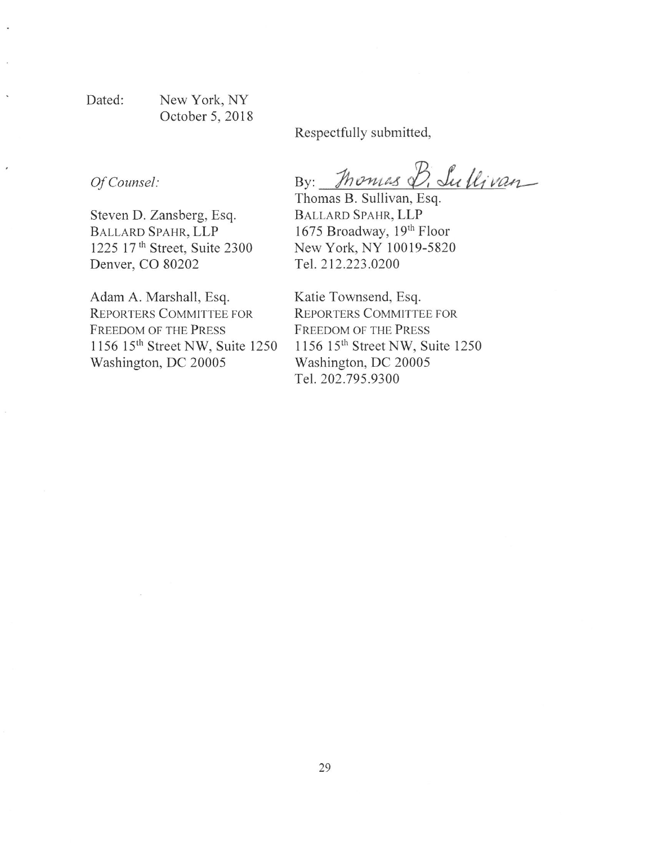Dated:

Of Counsel:

New York, NY October 5, 2018

Respectfully submitted,

By: Thomas B. Sullivan

Steven D. Zansberg, Esq. BALLARD SPAHR, LLP 1225 17<sup>th</sup> Street, Suite 2300 Denver, CO 80202

Adam A. Marshall, Esq. **REPORTERS COMMITTEE FOR FREEDOM OF THE PRESS** 1156 15th Street NW, Suite 1250 Washington, DC 20005

Thomas B. Sullivan, Esq. **BALLARD SPAHR, LLP** 1675 Broadway, 19th Floor New York, NY 10019-5820 Tel. 212.223.0200

Katie Townsend, Esq. **REPORTERS COMMITTEE FOR FREEDOM OF THE PRESS** 1156 15th Street NW, Suite 1250 Washington, DC 20005 Tel. 202.795.9300